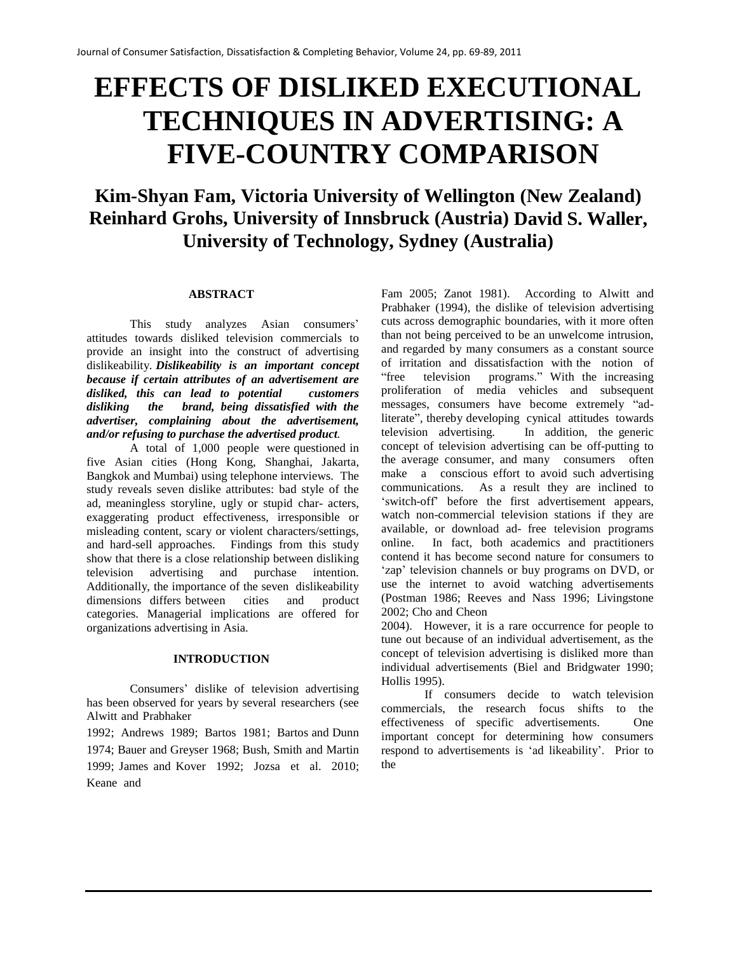# **EFFECTS OF DISLIKED EXECUTIONAL TECHNIQUES IN ADVERTISING: A FIVE-COUNTRY COMPARISON**

**Kim-Shyan Fam, Victoria University of Wellington (New Zealand) Reinhard Grohs, University of Innsbruck (Austria) David S. Waller, University of Technology, Sydney (Australia)**

#### **ABSTRACT**

This study analyzes Asian consumers' attitudes towards disliked television commercials to provide an insight into the construct of advertising dislikeability. *Dislikeability is an important concept because if certain attributes of an advertisement are disliked, this can lead to potential customers disliking the brand, being dissatisfied with the advertiser, complaining about the advertisement, and/or refusing to purchase the advertised product.*

A total of 1,000 people were questioned in five Asian cities (Hong Kong, Shanghai, Jakarta, Bangkok and Mumbai) using telephone interviews. The study reveals seven dislike attributes: bad style of the ad, meaningless storyline, ugly or stupid char- acters, exaggerating product effectiveness, irresponsible or misleading content, scary or violent characters/settings, and hard-sell approaches. Findings from this study show that there is a close relationship between disliking television advertising and purchase intention. Additionally, the importance of the seven dislikeability dimensions differs between cities and product categories. Managerial implications are offered for organizations advertising in Asia.

#### **INTRODUCTION**

Consumers' dislike of television advertising has been observed for years by several researchers (see Alwitt and Prabhaker

1992; Andrews 1989; Bartos 1981; Bartos and Dunn 1974; Bauer and Greyser 1968; Bush, Smith and Martin 1999; James and Kover 1992; Jozsa et al. 2010; Keane and

Fam 2005; Zanot 1981). According to Alwitt and Prabhaker (1994), the dislike of television advertising cuts across demographic boundaries, with it more often than not being perceived to be an unwelcome intrusion, and regarded by many consumers as a constant source of irritation and dissatisfaction with the notion of "free television programs." With the increasing "free television programs." With the increasing proliferation of media vehicles and subsequent messages, consumers have become extremely "adliterate", thereby developing cynical attitudes towards<br>television advertising. In addition, the generic In addition, the generic concept of television advertising can be off-putting to the average consumer, and many consumers often make a conscious effort to avoid such advertising communications. As a result they are inclined to 'switch-off' before the first advertisement appears, watch non-commercial television stations if they are available, or download ad- free television programs online. In fact, both academics and practitioners contend it has become second nature for consumers to 'zap' television channels or buy programs on DVD, or use the internet to avoid watching advertisements (Postman 1986; Reeves and Nass 1996; Livingstone 2002; Cho and Cheon

2004). However, it is a rare occurrence for people to tune out because of an individual advertisement, as the concept of television advertising is disliked more than individual advertisements (Biel and Bridgwater 1990; Hollis 1995).

If consumers decide to watch television commercials, the research focus shifts to the effectiveness of specific advertisements. One important concept for determining how consumers respond to advertisements is 'ad likeability'. Prior to the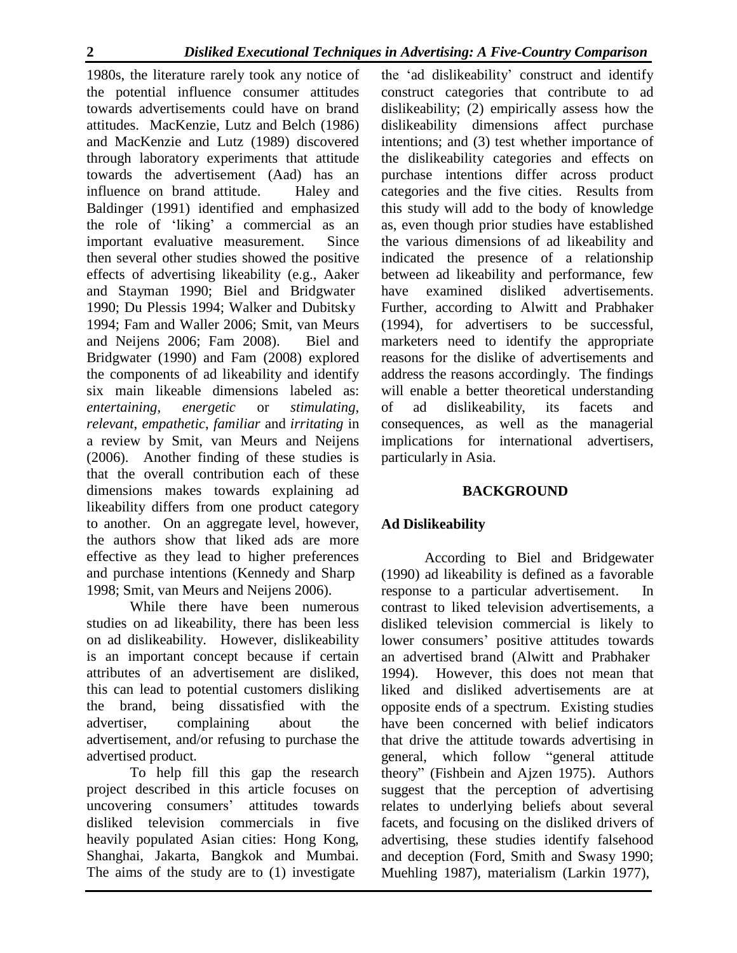1980s, the literature rarely took any notice of the potential influence consumer attitudes towards advertisements could have on brand attitudes. MacKenzie, Lutz and Belch (1986) and MacKenzie and Lutz (1989) discovered through laboratory experiments that attitude towards the advertisement (Aad) has an influence on brand attitude. Haley and Baldinger (1991) identified and emphasized the role of 'liking' a commercial as an important evaluative measurement. Since then several other studies showed the positive effects of advertising likeability (e.g., Aaker and Stayman 1990; Biel and Bridgwater 1990; Du Plessis 1994; Walker and Dubitsky 1994; Fam and Waller 2006; Smit, van Meurs and Neijens 2006; Fam 2008). Biel and Bridgwater (1990) and Fam (2008) explored the components of ad likeability and identify six main likeable dimensions labeled as: *entertaining*, *energetic* or *stimulating*, *relevant*, *empathetic*, *familiar* and *irritating* in a review by Smit, van Meurs and Neijens (2006). Another finding of these studies is that the overall contribution each of these dimensions makes towards explaining ad likeability differs from one product category to another. On an aggregate level, however, the authors show that liked ads are more effective as they lead to higher preferences and purchase intentions (Kennedy and Sharp 1998; Smit, van Meurs and Neijens 2006).

While there have been numerous studies on ad likeability, there has been less on ad dislikeability. However, dislikeability is an important concept because if certain attributes of an advertisement are disliked, this can lead to potential customers disliking the brand, being dissatisfied with the advertiser, complaining about the advertisement, and/or refusing to purchase the advertised product*.*

To help fill this gap the research project described in this article focuses on uncovering consumers' attitudes towards disliked television commercials in five heavily populated Asian cities: Hong Kong, Shanghai, Jakarta, Bangkok and Mumbai. The aims of the study are to (1) investigate

the 'ad dislikeability' construct and identify construct categories that contribute to ad dislikeability; (2) empirically assess how the dislikeability dimensions affect purchase intentions; and (3) test whether importance of the dislikeability categories and effects on purchase intentions differ across product categories and the five cities. Results from this study will add to the body of knowledge as, even though prior studies have established the various dimensions of ad likeability and indicated the presence of a relationship between ad likeability and performance, few have examined disliked advertisements. Further, according to Alwitt and Prabhaker (1994), for advertisers to be successful, marketers need to identify the appropriate reasons for the dislike of advertisements and address the reasons accordingly. The findings will enable a better theoretical understanding of ad dislikeability, its facets and consequences, as well as the managerial implications for international advertisers, particularly in Asia.

# **BACKGROUND**

# **Ad Dislikeability**

According to Biel and Bridgewater (1990) ad likeability is defined as a favorable response to a particular advertisement. In contrast to liked television advertisements, a disliked television commercial is likely to lower consumers' positive attitudes towards an advertised brand (Alwitt and Prabhaker 1994). However, this does not mean that liked and disliked advertisements are at opposite ends of a spectrum. Existing studies have been concerned with belief indicators that drive the attitude towards advertising in general, which follow "general attitude theory" (Fishbein and Ajzen 1975). Authors suggest that the perception of advertising relates to underlying beliefs about several facets, and focusing on the disliked drivers of advertising, these studies identify falsehood and deception (Ford, Smith and Swasy 1990; Muehling 1987), materialism (Larkin 1977),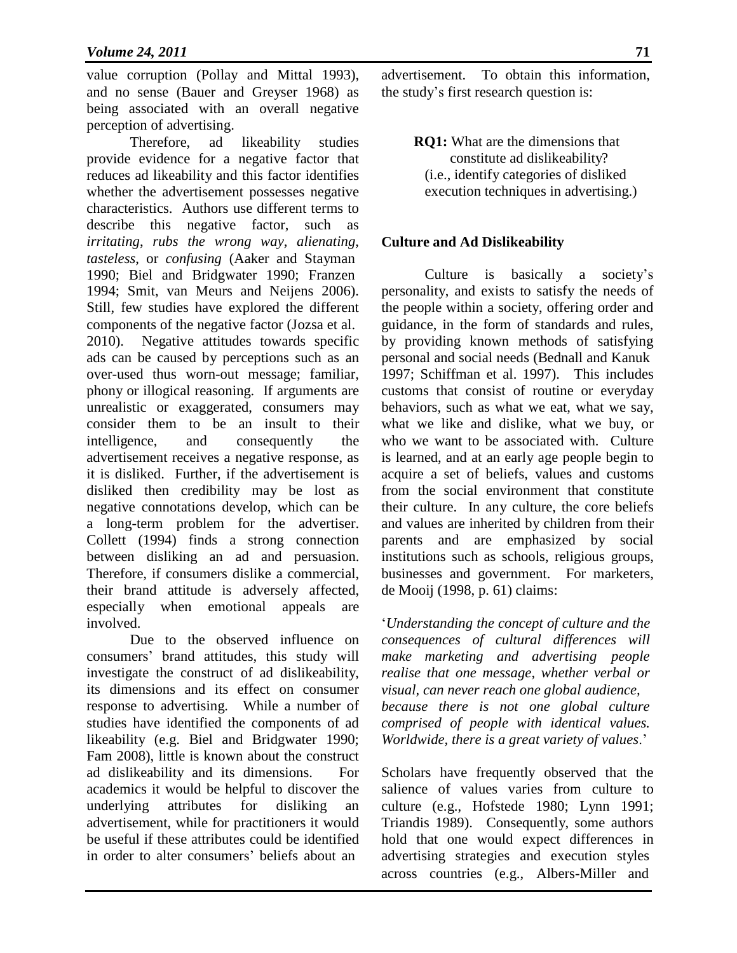value corruption (Pollay and Mittal 1993), and no sense (Bauer and Greyser 1968) as being associated with an overall negative perception of advertising.

Therefore, ad likeability studies provide evidence for a negative factor that reduces ad likeability and this factor identifies whether the advertisement possesses negative characteristics. Authors use different terms to describe this negative factor, such as *irritating*, *rubs the wrong way*, *alienating*, *tasteless*, or *confusing* (Aaker and Stayman 1990; Biel and Bridgwater 1990; Franzen 1994; Smit, van Meurs and Neijens 2006). Still, few studies have explored the different components of the negative factor (Jozsa et al. 2010). Negative attitudes towards specific ads can be caused by perceptions such as an over-used thus worn-out message; familiar, phony or illogical reasoning. If arguments are unrealistic or exaggerated, consumers may consider them to be an insult to their intelligence, and consequently the advertisement receives a negative response, as it is disliked. Further, if the advertisement is disliked then credibility may be lost as negative connotations develop, which can be a long-term problem for the advertiser. Collett (1994) finds a strong connection between disliking an ad and persuasion. Therefore, if consumers dislike a commercial, their brand attitude is adversely affected, especially when emotional appeals are involved.

Due to the observed influence on consumers' brand attitudes, this study will investigate the construct of ad dislikeability, its dimensions and its effect on consumer response to advertising. While a number of studies have identified the components of ad likeability (e.g. Biel and Bridgwater 1990; Fam 2008), little is known about the construct ad dislikeability and its dimensions. For academics it would be helpful to discover the underlying attributes for disliking an advertisement, while for practitioners it would be useful if these attributes could be identified in order to alter consumers' beliefs about an

advertisement. To obtain this information, the study's first research question is:

> **RQ1:** What are the dimensions that constitute ad dislikeability? (i.e., identify categories of disliked execution techniques in advertising.)

#### **Culture and Ad Dislikeability**

Culture is basically a society's personality, and exists to satisfy the needs of the people within a society, offering order and guidance, in the form of standards and rules, by providing known methods of satisfying personal and social needs (Bednall and Kanuk 1997; Schiffman et al. 1997). This includes customs that consist of routine or everyday behaviors, such as what we eat, what we say, what we like and dislike, what we buy, or who we want to be associated with. Culture is learned, and at an early age people begin to acquire a set of beliefs, values and customs from the social environment that constitute their culture. In any culture, the core beliefs and values are inherited by children from their parents and are emphasized by social institutions such as schools, religious groups, businesses and government. For marketers, de Mooij (1998, p. 61) claims:

'*Understanding the concept of culture and the consequences of cultural differences will make marketing and advertising people realise that one message, whether verbal or visual, can never reach one global audience, because there is not one global culture comprised of people with identical values. Worldwide, there is a great variety of values*.'

across countries (e.g., Albers-Miller and Scholars have frequently observed that the salience of values varies from culture to culture (e.g., Hofstede 1980; Lynn 1991; Triandis 1989). Consequently, some authors hold that one would expect differences in advertising strategies and execution styles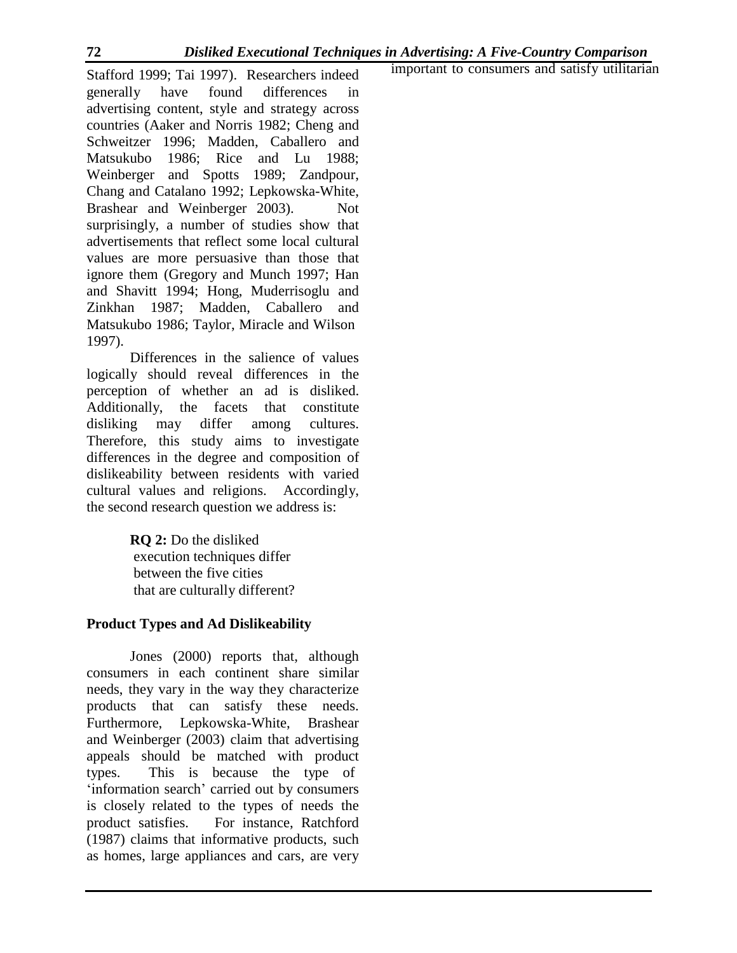important to consumers and satisfy utilitarian

Stafford 1999; Tai 1997). Researchers indeed generally have found differences advertising content, style and strategy across countries (Aaker and Norris 1982; Cheng and Schweitzer 1996; Madden, Caballero and Matsukubo 1986; Rice and Lu 1988; Weinberger and Spotts 1989; Zandpour, Chang and Catalano 1992; Lepkowska-White, Brashear and Weinberger 2003). Not surprisingly, a number of studies show that advertisements that reflect some local cultural values are more persuasive than those that ignore them (Gregory and Munch 1997; Han and Shavitt 1994; Hong, Muderrisoglu and Zinkhan 1987; Madden, Caballero and Matsukubo 1986; Taylor, Miracle and Wilson 1997).

Differences in the salience of values logically should reveal differences in the perception of whether an ad is disliked. Additionally, the facets that constitute disliking may differ among cultures. Therefore, this study aims to investigate differences in the degree and composition of dislikeability between residents with varied cultural values and religions. Accordingly, the second research question we address is:

> **RQ 2:** Do the disliked execution techniques differ between the five cities that are culturally different?

## **Product Types and Ad Dislikeability**

Jones (2000) reports that, although consumers in each continent share similar needs, they vary in the way they characterize products that can satisfy these needs. Furthermore, Lepkowska-White, Brashear and Weinberger (2003) claim that advertising appeals should be matched with product types. This is because the type of 'information search' carried out by consumers is closely related to the types of needs the product satisfies. For instance, Ratchford (1987) claims that informative products, such as homes, large appliances and cars, are very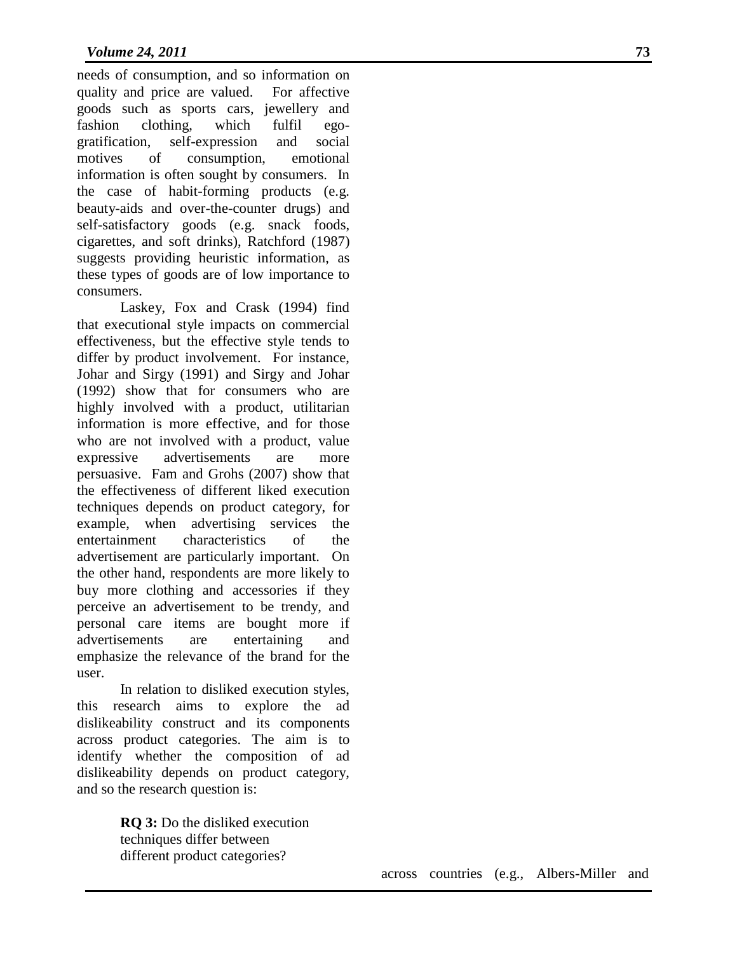needs of consumption, and so information on quality and price are valued. For affective goods such as sports cars, jewellery and fashion clothing, which fulfil egogratification, self-expression and social motives of consumption, emotional information is often sought by consumers. In the case of habit-forming products (e.g. beauty-aids and over-the-counter drugs) and self-satisfactory goods (e.g. snack foods, cigarettes, and soft drinks), Ratchford (1987) suggests providing heuristic information, as these types of goods are of low importance to consumers.

Laskey, Fox and Crask (1994) find that executional style impacts on commercial effectiveness, but the effective style tends to differ by product involvement. For instance, Johar and Sirgy (1991) and Sirgy and Johar (1992) show that for consumers who are highly involved with a product, utilitarian information is more effective, and for those who are not involved with a product, value expressive advertisements are more persuasive. Fam and Grohs (2007) show that the effectiveness of different liked execution techniques depends on product category, for example, when advertising services the entertainment characteristics of the advertisement are particularly important. On the other hand, respondents are more likely to buy more clothing and accessories if they perceive an advertisement to be trendy, and personal care items are bought more if advertisements are entertaining and emphasize the relevance of the brand for the user.

In relation to disliked execution styles, this research aims to explore the ad dislikeability construct and its components across product categories. The aim is to identify whether the composition of ad dislikeability depends on product category, and so the research question is:

> **RQ 3:** Do the disliked execution techniques differ between different product categories?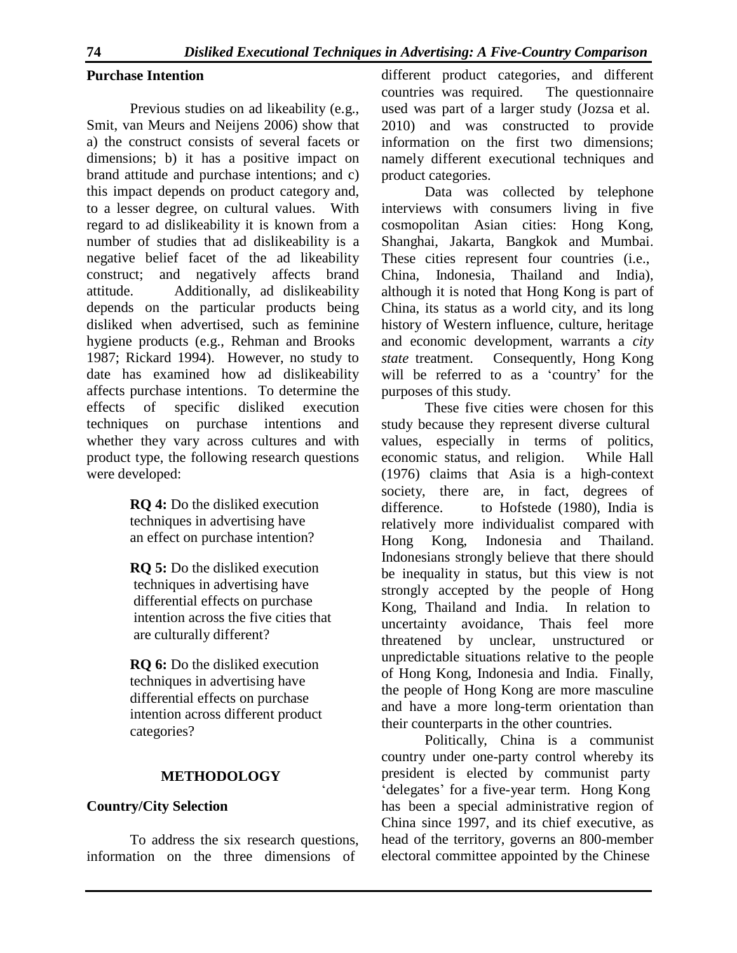## **Purchase Intention**

Previous studies on ad likeability (e.g., Smit, van Meurs and Neijens 2006) show that a) the construct consists of several facets or dimensions; b) it has a positive impact on brand attitude and purchase intentions; and c) this impact depends on product category and, to a lesser degree, on cultural values. With regard to ad dislikeability it is known from a number of studies that ad dislikeability is a negative belief facet of the ad likeability construct; and negatively affects brand attitude. Additionally, ad dislikeability depends on the particular products being disliked when advertised, such as feminine hygiene products (e.g., Rehman and Brooks 1987; Rickard 1994). However, no study to date has examined how ad dislikeability affects purchase intentions. To determine the effects of specific disliked execution techniques on purchase intentions and whether they vary across cultures and with product type, the following research questions were developed:

> **RQ 4:** Do the disliked execution techniques in advertising have an effect on purchase intention?

**RQ 5:** Do the disliked execution techniques in advertising have differential effects on purchase intention across the five cities that are culturally different?

**RQ 6:** Do the disliked execution techniques in advertising have differential effects on purchase intention across different product categories?

## **METHODOLOGY**

## **Country/City Selection**

To address the six research questions, information on the three dimensions of

different product categories, and different countries was required. The questionnaire used was part of a larger study (Jozsa et al. 2010) and was constructed to provide information on the first two dimensions; namely different executional techniques and product categories.

Data was collected by telephone interviews with consumers living in five cosmopolitan Asian cities: Hong Kong, Shanghai, Jakarta, Bangkok and Mumbai. These cities represent four countries (i.e., China, Indonesia, Thailand and India), although it is noted that Hong Kong is part of China, its status as a world city, and its long history of Western influence, culture, heritage and economic development, warrants a *city state* treatment. Consequently, Hong Kong will be referred to as a 'country' for the purposes of this study.

These five cities were chosen for this study because they represent diverse cultural values, especially in terms of politics, economic status, and religion. While Hall (1976) claims that Asia is a high-context society, there are, in fact, degrees of difference. to Hofstede (1980), India is relatively more individualist compared with Hong Kong, Indonesia and Thailand. Indonesians strongly believe that there should be inequality in status, but this view is not strongly accepted by the people of Hong Kong, Thailand and India. In relation to uncertainty avoidance, Thais feel more threatened by unclear, unstructured or unpredictable situations relative to the people of Hong Kong, Indonesia and India. Finally, the people of Hong Kong are more masculine and have a more long-term orientation than their counterparts in the other countries.

Politically, China is a communist country under one-party control whereby its president is elected by communist party 'delegates' for a five-year term. Hong Kong has been a special administrative region of China since 1997, and its chief executive, as head of the territory, governs an 800-member electoral committee appointed by the Chinese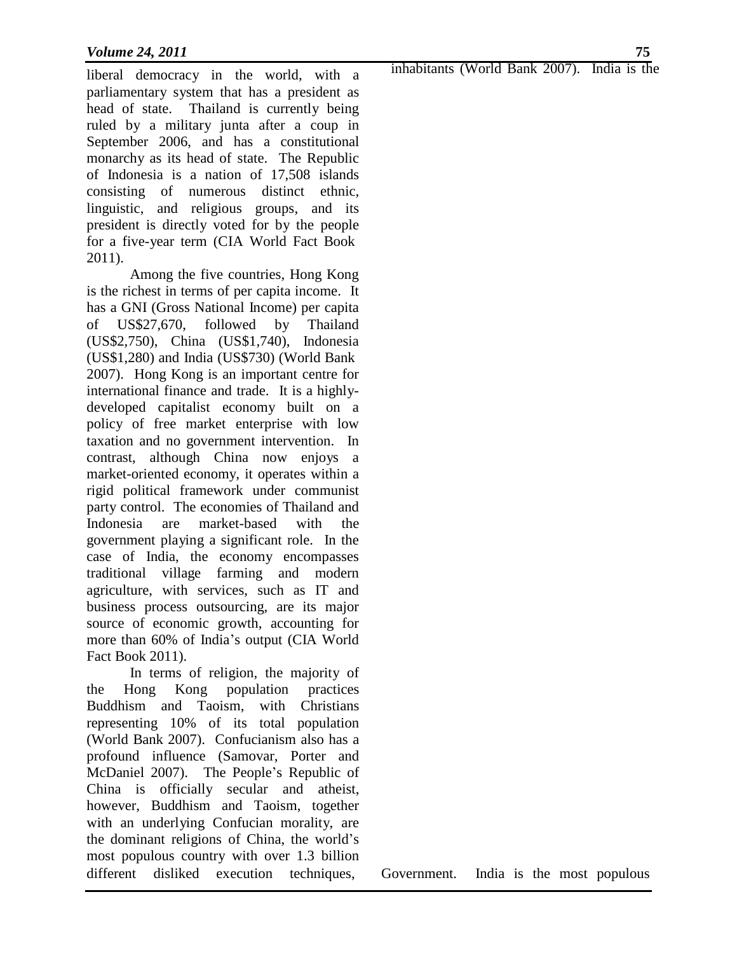liberal democracy in the world, with a parliamentary system that has a president as head of state. Thailand is currently being ruled by a military junta after a coup in September 2006, and has a constitutional monarchy as its head of state. The Republic of Indonesia is a nation of 17,508 islands consisting of numerous distinct ethnic, linguistic, and religious groups, and its president is directly voted for by the people for a five-year term (CIA World Fact Book 2011).

Among the five countries, Hong Kong is the richest in terms of per capita income. It has a GNI (Gross National Income) per capita of US\$27,670, followed by Thailand (US\$2,750), China (US\$1,740), Indonesia (US\$1,280) and India (US\$730) (World Bank 2007). Hong Kong is an important centre for international finance and trade. It is a highlydeveloped capitalist economy built on a policy of free market enterprise with low taxation and no government intervention. In contrast, although China now enjoys a market-oriented economy, it operates within a rigid political framework under communist party control. The economies of Thailand and Indonesia are market-based with the government playing a significant role. In the case of India, the economy encompasses traditional village farming and modern agriculture, with services, such as IT and business process outsourcing, are its major source of economic growth, accounting for more than 60% of India's output (CIA World Fact Book 2011).

different disliked execution techniques, Government. India is the most populous In terms of religion, the majority of the Hong Kong population practices Buddhism and Taoism, with Christians representing 10% of its total population (World Bank 2007). Confucianism also has a profound influence (Samovar, Porter and McDaniel 2007). The People's Republic of China is officially secular and atheist, however, Buddhism and Taoism, together with an underlying Confucian morality, are the dominant religions of China, the world's most populous country with over 1.3 billion

inhabitants (World Bank 2007). India is the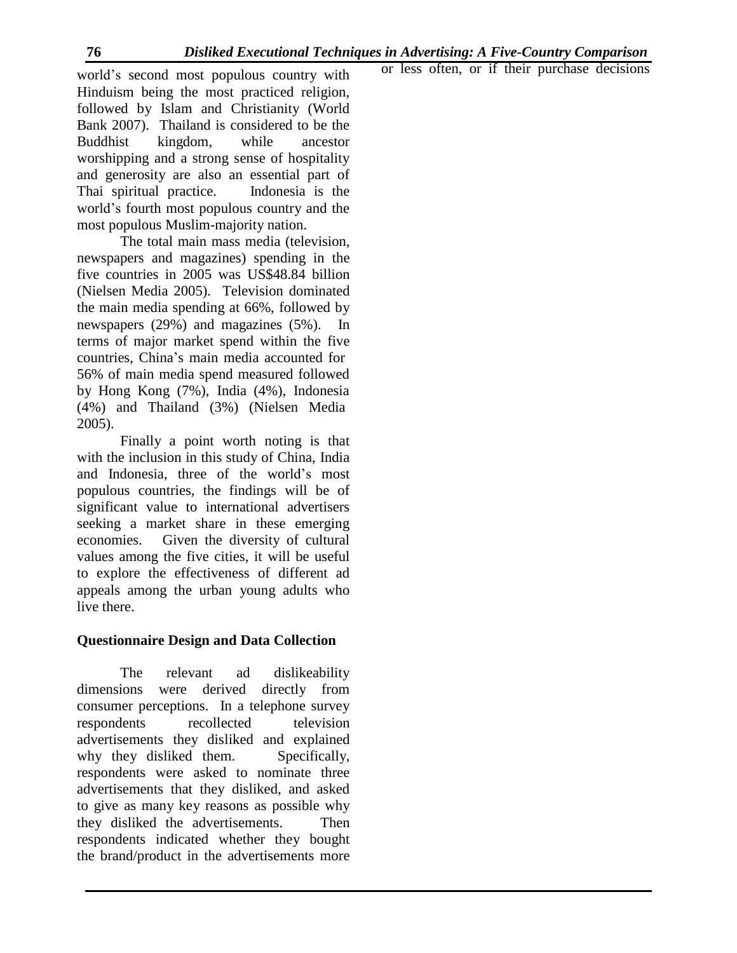world's second most populous country with Hinduism being the most practiced religion, followed by Islam and Christianity (World Bank 2007). Thailand is considered to be the Buddhist kingdom, while ancestor worshipping and a strong sense of hospitality and generosity are also an essential part of Thai spiritual practice. Indonesia is the world's fourth most populous country and the most populous Muslim-majority nation.

The total main mass media (television, newspapers and magazines) spending in the five countries in 2005 was US\$48.84 billion (Nielsen Media 2005). Television dominated the main media spending at 66%, followed by newspapers (29%) and magazines (5%). In terms of major market spend within the five countries, China's main media accounted for 56% of main media spend measured followed by Hong Kong (7%), India (4%), Indonesia (4%) and Thailand (3%) (Nielsen Media 2005).

Finally a point worth noting is that with the inclusion in this study of China, India and Indonesia, three of the world's most populous countries, the findings will be of significant value to international advertisers seeking a market share in these emerging economies. Given the diversity of cultural values among the five cities, it will be useful to explore the effectiveness of different ad appeals among the urban young adults who live there.

## **Questionnaire Design and Data Collection**

The relevant ad dislikeability dimensions were derived directly from consumer perceptions. In a telephone survey respondents recollected television advertisements they disliked and explained why they disliked them. Specifically, respondents were asked to nominate three advertisements that they disliked, and asked to give as many key reasons as possible why they disliked the advertisements. Then respondents indicated whether they bought the brand/product in the advertisements more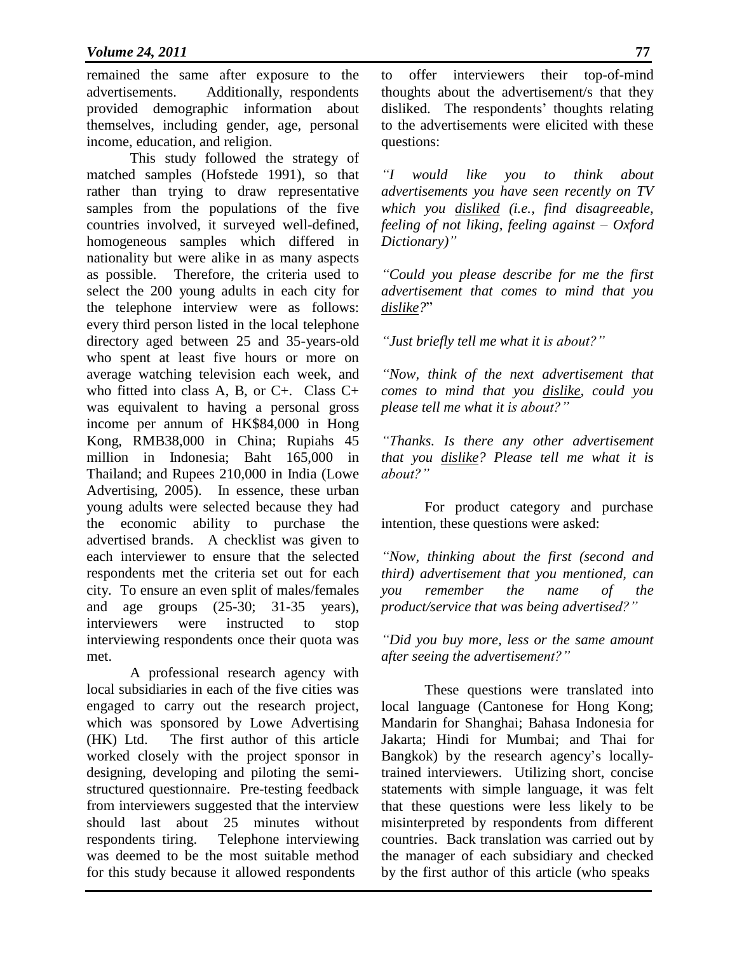remained the same after exposure to the advertisements. Additionally, respondents provided demographic information about themselves, including gender, age, personal income, education, and religion.

This study followed the strategy of matched samples (Hofstede 1991), so that rather than trying to draw representative samples from the populations of the five countries involved, it surveyed well-defined, homogeneous samples which differed in nationality but were alike in as many aspects as possible. Therefore, the criteria used to select the 200 young adults in each city for the telephone interview were as follows: every third person listed in the local telephone directory aged between 25 and 35-years-old who spent at least five hours or more on average watching television each week, and who fitted into class A, B, or C+. Class C+ was equivalent to having a personal gross income per annum of HK\$84,000 in Hong Kong, RMB38,000 in China; Rupiahs 45 million in Indonesia; Baht 165,000 in Thailand; and Rupees 210,000 in India (Lowe Advertising, 2005). In essence, these urban young adults were selected because they had the economic ability to purchase the advertised brands. A checklist was given to each interviewer to ensure that the selected respondents met the criteria set out for each city. To ensure an even split of males/females and age groups (25-30; 31-35 years), interviewers were instructed to stop interviewing respondents once their quota was met.

A professional research agency with local subsidiaries in each of the five cities was engaged to carry out the research project, which was sponsored by Lowe Advertising (HK) Ltd. The first author of this article worked closely with the project sponsor in designing, developing and piloting the semistructured questionnaire. Pre-testing feedback from interviewers suggested that the interview should last about 25 minutes without respondents tiring. Telephone interviewing was deemed to be the most suitable method for this study because it allowed respondents

to offer interviewers their top-of-mind thoughts about the advertisement/s that they disliked. The respondents' thoughts relating to the advertisements were elicited with these questions:

*"I would like you to think about advertisements you have seen recently on TV which you disliked (i.e., find disagreeable, feeling of not liking, feeling against – Oxford Dictionary)"*

*"Could you please describe for me the first advertisement that comes to mind that you dislike?*"

*"Just briefly tell me what it is about?"*

*"Now, think of the next advertisement that comes to mind that you dislike, could you please tell me what it is about?"*

*"Thanks. Is there any other advertisement that you dislike? Please tell me what it is about?"*

For product category and purchase intention, these questions were asked:

*"Now, thinking about the first (second and third) advertisement that you mentioned, can you remember the name of the product/service that was being advertised?"*

*"Did you buy more, less or the same amount after seeing the advertisement?"*

These questions were translated into local language (Cantonese for Hong Kong; Mandarin for Shanghai; Bahasa Indonesia for Jakarta; Hindi for Mumbai; and Thai for Bangkok) by the research agency's locallytrained interviewers. Utilizing short, concise statements with simple language, it was felt that these questions were less likely to be misinterpreted by respondents from different countries. Back translation was carried out by the manager of each subsidiary and checked by the first author of this article (who speaks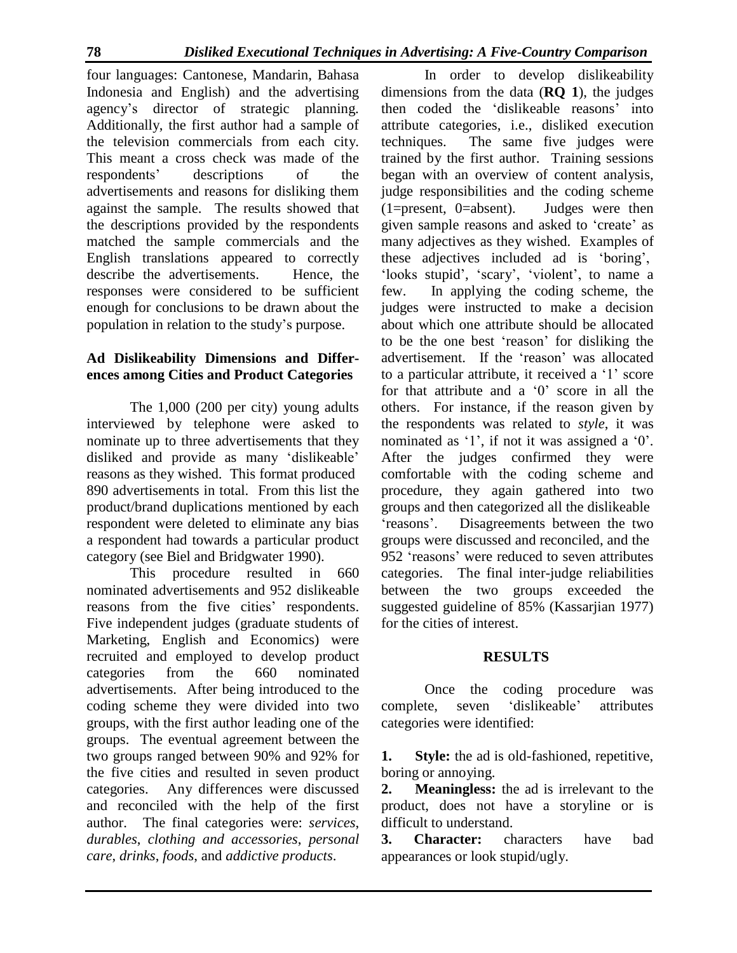four languages: Cantonese, Mandarin, Bahasa Indonesia and English) and the advertising agency's director of strategic planning. Additionally, the first author had a sample of the television commercials from each city. This meant a cross check was made of the respondents' descriptions of the advertisements and reasons for disliking them against the sample. The results showed that the descriptions provided by the respondents matched the sample commercials and the English translations appeared to correctly describe the advertisements. Hence, the responses were considered to be sufficient enough for conclusions to be drawn about the population in relation to the study's purpose.

# **Ad Dislikeability Dimensions and Differences among Cities and Product Categories**

The 1,000 (200 per city) young adults interviewed by telephone were asked to nominate up to three advertisements that they disliked and provide as many 'dislikeable' reasons as they wished. This format produced 890 advertisements in total. From this list the product/brand duplications mentioned by each respondent were deleted to eliminate any bias a respondent had towards a particular product category (see Biel and Bridgwater 1990).

This procedure resulted in 660 nominated advertisements and 952 dislikeable reasons from the five cities' respondents. Five independent judges (graduate students of Marketing, English and Economics) were recruited and employed to develop product categories from the 660 nominated advertisements. After being introduced to the coding scheme they were divided into two groups, with the first author leading one of the groups. The eventual agreement between the two groups ranged between 90% and 92% for the five cities and resulted in seven product categories. Any differences were discussed and reconciled with the help of the first author. The final categories were: *services*, *durables*, *clothing and accessories*, *personal care*, *drinks*, *foods*, and *addictive products*.

In order to develop dislikeability dimensions from the data (**RQ 1**), the judges then coded the 'dislikeable reasons' into attribute categories, i.e., disliked execution techniques. The same five judges were trained by the first author. Training sessions began with an overview of content analysis, judge responsibilities and the coding scheme (1=present, 0=absent). Judges were then given sample reasons and asked to 'create' as many adjectives as they wished. Examples of these adjectives included ad is 'boring', 'looks stupid', 'scary', 'violent', to name a few. In applying the coding scheme, the judges were instructed to make a decision about which one attribute should be allocated to be the one best 'reason' for disliking the advertisement. If the 'reason' was allocated to a particular attribute, it received a '1' score for that attribute and a '0' score in all the others. For instance, if the reason given by the respondents was related to *style*, it was nominated as '1', if not it was assigned a '0'. After the judges confirmed they were comfortable with the coding scheme and procedure, they again gathered into two groups and then categorized all the dislikeable 'reasons'. Disagreements between the two groups were discussed and reconciled, and the 952 'reasons' were reduced to seven attributes categories. The final inter-judge reliabilities between the two groups exceeded the suggested guideline of 85% (Kassarjian 1977) for the cities of interest.

# **RESULTS**

Once the coding procedure was complete, seven 'dislikeable' attributes categories were identified:

**1.** Style: the ad is old-fashioned, repetitive, boring or annoying.

**2. Meaningless:** the ad is irrelevant to the product, does not have a storyline or is difficult to understand.

**3. Character:** characters have bad appearances or look stupid/ugly.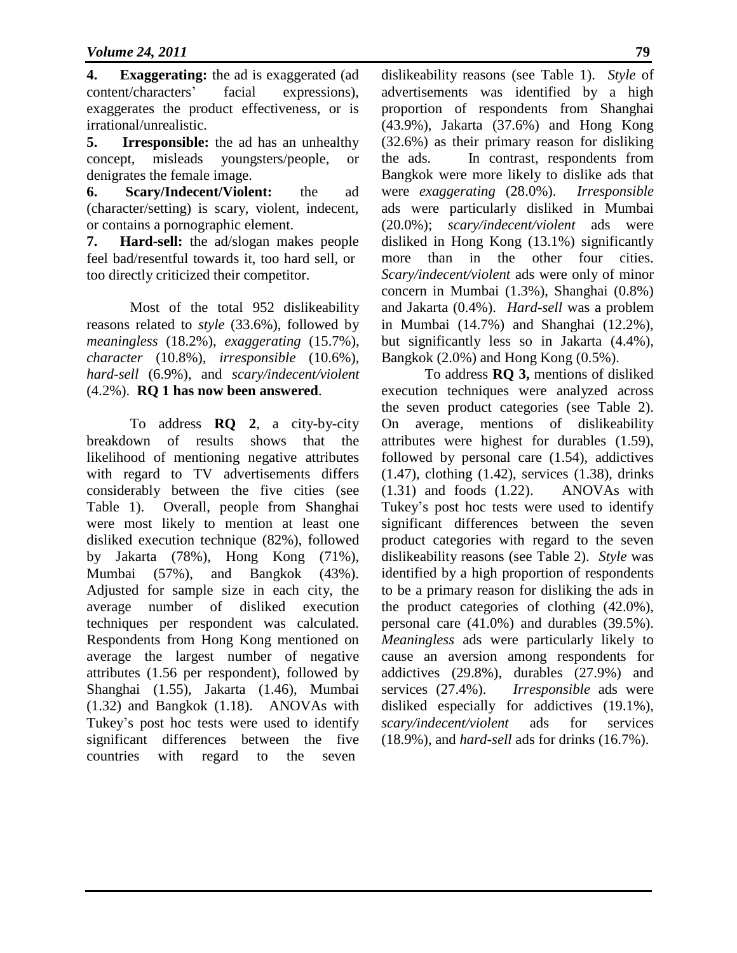**4. Exaggerating:** the ad is exaggerated (ad content/characters' facial expressions), exaggerates the product effectiveness, or is irrational/unrealistic.

**5. Irresponsible:** the ad has an unhealthy concept, misleads youngsters/people, or denigrates the female image.

**6. Scary/Indecent/Violent:** the ad (character/setting) is scary, violent, indecent, or contains a pornographic element.

**7. Hard-sell:** the ad/slogan makes people feel bad/resentful towards it, too hard sell, or too directly criticized their competitor.

Most of the total 952 dislikeability reasons related to *style* (33.6%), followed by *meaningless* (18.2%), *exaggerating* (15.7%), *character* (10.8%), *irresponsible* (10.6%), *hard-sell* (6.9%), and *scary/indecent/violent*  (4.2%). **RQ 1 has now been answered**.

To address **RQ 2**, a city-by-city breakdown of results shows that the likelihood of mentioning negative attributes with regard to TV advertisements differs considerably between the five cities (see Table 1). Overall, people from Shanghai were most likely to mention at least one disliked execution technique (82%), followed by Jakarta (78%), Hong Kong (71%), Mumbai (57%), and Bangkok (43%). Adjusted for sample size in each city, the average number of disliked execution techniques per respondent was calculated. Respondents from Hong Kong mentioned on average the largest number of negative attributes (1.56 per respondent), followed by Shanghai (1.55), Jakarta (1.46), Mumbai (1.32) and Bangkok (1.18). ANOVAs with Tukey's post hoc tests were used to identify significant differences between the five countries with regard to the seven

dislikeability reasons (see Table 1). *Style* of advertisements was identified by a high proportion of respondents from Shanghai (43.9%), Jakarta (37.6%) and Hong Kong (32.6%) as their primary reason for disliking the ads. In contrast, respondents from Bangkok were more likely to dislike ads that were *exaggerating* (28.0%). *Irresponsible*  ads were particularly disliked in Mumbai (20.0%); *scary/indecent/violent* ads were disliked in Hong Kong (13.1%) significantly more than in the other four cities. *Scary/indecent/violent* ads were only of minor concern in Mumbai (1.3%), Shanghai (0.8%) and Jakarta (0.4%). *Hard-sell* was a problem in Mumbai (14.7%) and Shanghai (12.2%), but significantly less so in Jakarta (4.4%), Bangkok (2.0%) and Hong Kong (0.5%).

To address **RQ 3,** mentions of disliked execution techniques were analyzed across the seven product categories (see Table 2). On average, mentions of dislikeability attributes were highest for durables (1.59), followed by personal care (1.54), addictives (1.47), clothing (1.42), services (1.38), drinks (1.31) and foods (1.22). ANOVAs with Tukey's post hoc tests were used to identify significant differences between the seven product categories with regard to the seven dislikeability reasons (see Table 2). *Style* was identified by a high proportion of respondents to be a primary reason for disliking the ads in the product categories of clothing (42.0%), personal care (41.0%) and durables (39.5%). *Meaningless* ads were particularly likely to cause an aversion among respondents for addictives (29.8%), durables (27.9%) and services (27.4%). *Irresponsible* ads were disliked especially for addictives (19.1%), *scary/indecent/violent* ads for services (18.9%), and *hard-sell* ads for drinks (16.7%).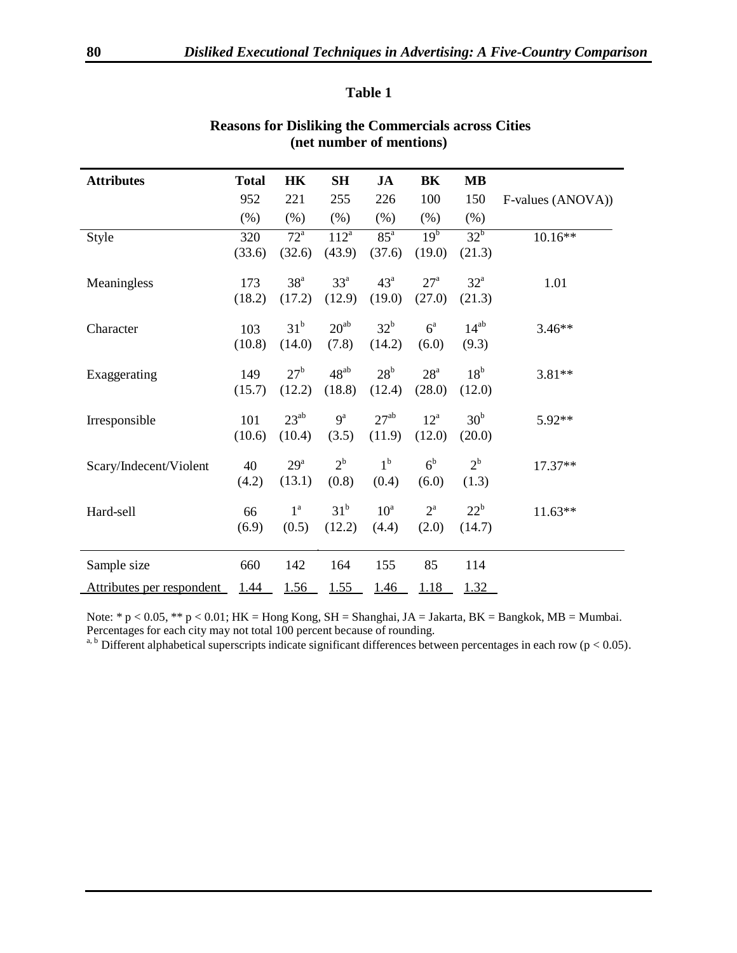#### **Table 1**

| <b>Attributes</b>         | <b>Total</b> | HK                | SH              | JA              | BK               | <b>MB</b>         |                   |
|---------------------------|--------------|-------------------|-----------------|-----------------|------------------|-------------------|-------------------|
|                           | 952          | 221               | 255             | 226             | 100              | 150               | F-values (ANOVA)) |
|                           | $(\%)$       | (% )              | (% )            | (%)             | (% )             | (% )              |                   |
| Style                     | 320          | $\overline{72}^a$ | $112^a$         | $85^{\circ}$    | 19 <sup>b</sup>  | $32^b$            | $10.16**$         |
|                           | (33.6)       | (32.6)            | (43.9)          | (37.6)          | (19.0)           | (21.3)            |                   |
| Meaningless               | 173          | 38 <sup>a</sup>   | $33^{\circ}$    | 43 <sup>a</sup> | 27 <sup>a</sup>  | $32^{\mathrm{a}}$ | 1.01              |
|                           | (18.2)       | (17.2)            | (12.9)          | (19.0)          | (27.0)           | (21.3)            |                   |
| Character                 | 103          | 31 <sup>b</sup>   | $20^{ab}$       | $32^b$          | $6^{\circ}$      | $14^{ab}$         | $3.46**$          |
|                           | (10.8)       | (14.0)            | (7.8)           | (14.2)          | (6.0)            | (9.3)             |                   |
|                           |              |                   |                 |                 |                  |                   |                   |
| Exaggerating              | 149          | 27 <sup>b</sup>   | $48^{ab}$       | $28^{\rm b}$    | 28 <sup>a</sup>  | 18 <sup>b</sup>   | $3.81**$          |
|                           | (15.7)       | (12.2)            | (18.8)          | (12.4)          | (28.0)           | (12.0)            |                   |
| Irresponsible             | 101          | $23^{ab}$         | $9^a$           | $27^{ab}$       | $12^a$           | 30 <sup>b</sup>   | 5.92**            |
|                           | (10.6)       | (10.4)            | (3.5)           | (11.9)          | (12.0)           | (20.0)            |                   |
|                           | 40           | $29^{\mathrm{a}}$ | $2^{\rm b}$     | $1^{\rm b}$     | 6 <sup>b</sup>   | $2^{\rm b}$       | $17.37**$         |
| Scary/Indecent/Violent    | (4.2)        | (13.1)            | (0.8)           | (0.4)           | (6.0)            | (1.3)             |                   |
|                           |              |                   |                 |                 |                  |                   |                   |
| Hard-sell                 | 66           | $1^{\mathrm{a}}$  | 31 <sup>b</sup> | $10^a$          | $2^{\mathrm{a}}$ | $22^b$            | $11.63**$         |
|                           | (6.9)        | (0.5)             | (12.2)          | (4.4)           | (2.0)            | (14.7)            |                   |
|                           |              |                   |                 |                 |                  |                   |                   |
| Sample size               | 660          | 142               | 164             | 155             | 85               | 114               |                   |
| Attributes per respondent | 1.44         | 1.56              | 1.55            | 1.46            | 1.18             | 1.32              |                   |

# **Reasons for Disliking the Commercials across Cities (net number of mentions)**

Note: \* p < 0.05, \*\* p < 0.01; HK = Hong Kong, SH = Shanghai, JA = Jakarta, BK = Bangkok, MB = Mumbai. Percentages for each city may not total 100 percent because of rounding.

a, b Different alphabetical superscripts indicate significant differences between percentages in each row ( $p < 0.05$ ).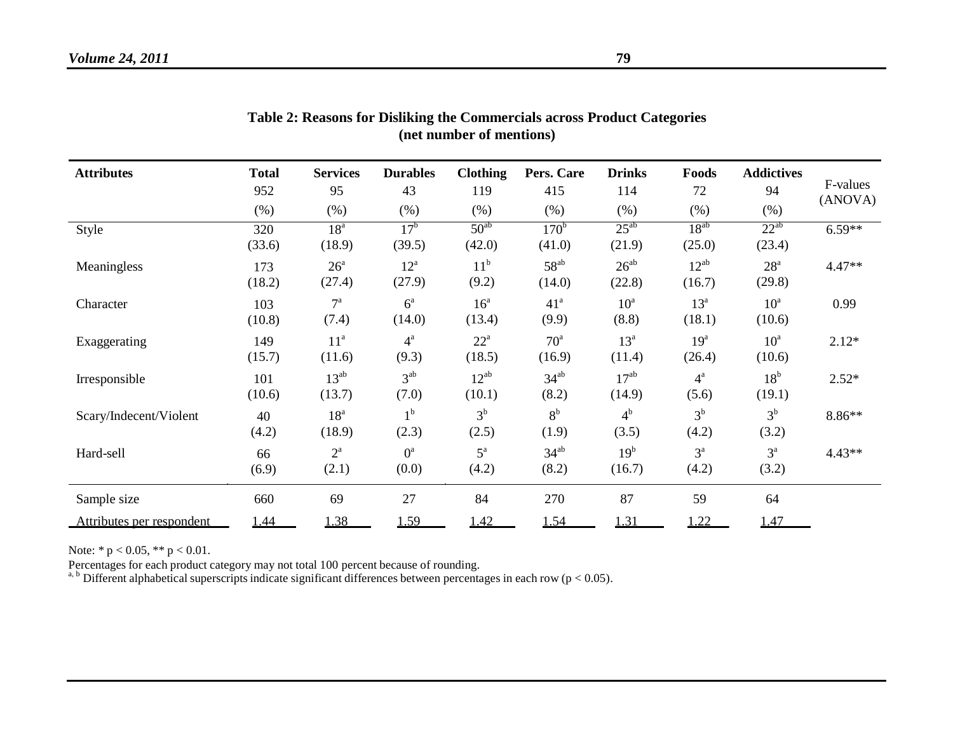| <b>Attributes</b>         | <b>Total</b><br>952 | <b>Services</b><br>95       | <b>Durables</b><br>43     | <b>Clothing</b><br>119      | Pers. Care<br>415          | <b>Drinks</b><br>114      | Foods<br>72               | <b>Addictives</b><br>94     | F-values |
|---------------------------|---------------------|-----------------------------|---------------------------|-----------------------------|----------------------------|---------------------------|---------------------------|-----------------------------|----------|
|                           | (%)                 | (% )                        | $(\% )$                   | $(\% )$                     | (% )                       | (% )                      | $(\% )$                   | (% )                        | (ANOVA)  |
| Style                     | 320<br>(33.6)       | 18 <sup>a</sup><br>(18.9)   | 17 <sup>b</sup><br>(39.5) | $50^{ab}$<br>(42.0)         | 170 <sup>b</sup><br>(41.0) | $25^{ab}$<br>(21.9)       | $18^{ab}$<br>(25.0)       | $22^{ab}$<br>(23.4)         | $6.59**$ |
| Meaningless               | 173<br>(18.2)       | $26^{\mathrm{a}}$<br>(27.4) | $12^a$<br>(27.9)          | 11 <sup>b</sup><br>(9.2)    | $58^{ab}$<br>(14.0)        | $26^{ab}$<br>(22.8)       | $12^{ab}$<br>(16.7)       | $28^{\mathrm{a}}$<br>(29.8) | $4.47**$ |
| Character                 | 103<br>(10.8)       | $7^{\mathrm{a}}$<br>(7.4)   | $6^{\circ}$<br>(14.0)     | 16 <sup>a</sup><br>(13.4)   | 41 <sup>a</sup><br>(9.9)   | $10^a$<br>(8.8)           | $13^a$<br>(18.1)          | $10^a$<br>(10.6)            | 0.99     |
| Exaggerating              | 149<br>(15.7)       | 11 <sup>a</sup><br>(11.6)   | $4^{\mathrm{a}}$<br>(9.3) | $22^{\mathrm{a}}$<br>(18.5) | $70^{\circ}$<br>(16.9)     | $13^a$<br>(11.4)          | 19 <sup>a</sup><br>(26.4) | $10^a$<br>(10.6)            | $2.12*$  |
| Irresponsible             | 101<br>(10.6)       | $13^{ab}$<br>(13.7)         | 3 <sup>ab</sup><br>(7.0)  | $12^{ab}$<br>(10.1)         | $34^{ab}$<br>(8.2)         | $17^{ab}$<br>(14.9)       | $4^{\mathrm{a}}$<br>(5.6) | $18^{\rm b}$<br>(19.1)      | $2.52*$  |
| Scary/Indecent/Violent    | 40<br>(4.2)         | 18 <sup>a</sup><br>(18.9)   | 1 <sup>b</sup><br>(2.3)   | 3 <sup>b</sup><br>(2.5)     | 8 <sup>b</sup><br>(1.9)    | 4 <sup>b</sup><br>(3.5)   | 3 <sup>b</sup><br>(4.2)   | $3^{\rm b}$<br>(3.2)        | $8.86**$ |
| Hard-sell                 | 66<br>(6.9)         | $2^{\mathrm{a}}$<br>(2.1)   | $0^a$<br>(0.0)            | $5^{\mathrm{a}}$<br>(4.2)   | $34^{ab}$<br>(8.2)         | 19 <sup>b</sup><br>(16.7) | $3^a$<br>(4.2)            | $3^a$<br>(3.2)              | $4.43**$ |
| Sample size               | 660                 | 69                          | 27                        | 84                          | 270                        | 87                        | 59                        | 64                          |          |
| Attributes per respondent | 1.44                | 1.38                        | 1.59                      | 1.42                        | 1.54                       | 1.31                      | 1.22                      | 1.47                        |          |

| Table 2: Reasons for Disliking the Commercials across Product Categories |  |
|--------------------------------------------------------------------------|--|
| (net number of mentions)                                                 |  |

Note: \* p < 0.05, \*\* p < 0.01.

Percentages for each product category may not total 100 percent because of rounding.

a, b Different alphabetical superscripts indicate significant differences between percentages in each row ( $p < 0.05$ ).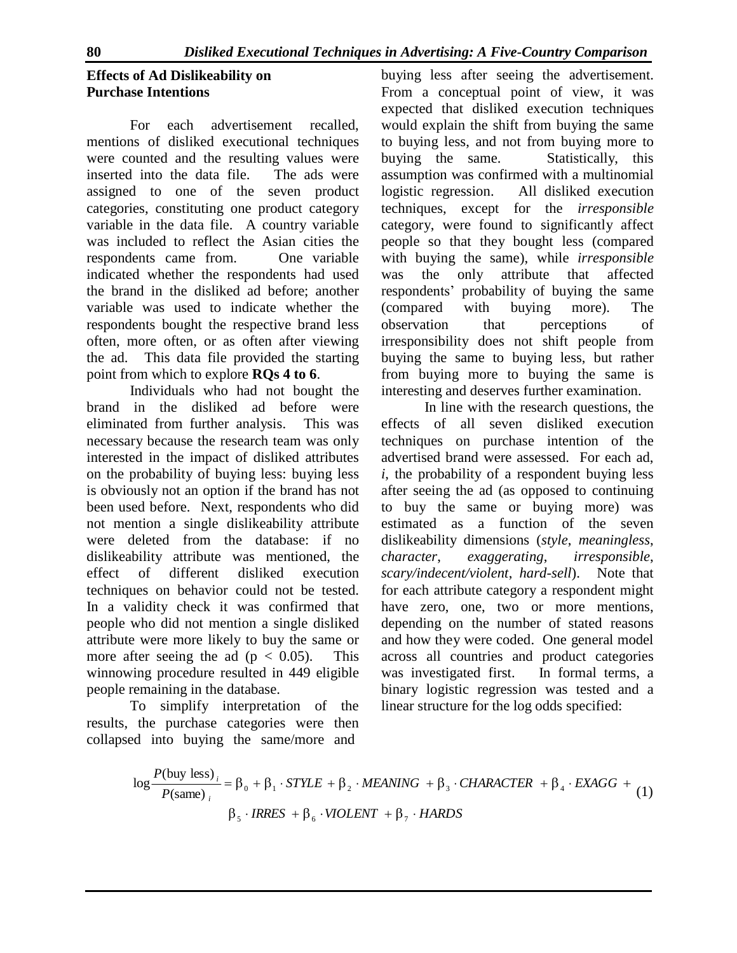# **Effects of Ad Dislikeability on Purchase Intentions**

For each advertisement recalled, mentions of disliked executional techniques were counted and the resulting values were inserted into the data file. The ads were assigned to one of the seven product categories, constituting one product category variable in the data file. A country variable was included to reflect the Asian cities the respondents came from. One variable indicated whether the respondents had used the brand in the disliked ad before; another variable was used to indicate whether the respondents bought the respective brand less often, more often, or as often after viewing the ad. This data file provided the starting point from which to explore **RQs 4 to 6**.

Individuals who had not bought the brand in the disliked ad before were eliminated from further analysis. This was necessary because the research team was only interested in the impact of disliked attributes on the probability of buying less: buying less is obviously not an option if the brand has not been used before. Next, respondents who did not mention a single dislikeability attribute were deleted from the database: if no dislikeability attribute was mentioned, the effect of different disliked execution techniques on behavior could not be tested. In a validity check it was confirmed that people who did not mention a single disliked attribute were more likely to buy the same or more after seeing the ad ( $p < 0.05$ ). This winnowing procedure resulted in 449 eligible people remaining in the database.

To simplify interpretation of the results, the purchase categories were then collapsed into buying the same/more and

buying less after seeing the advertisement. From a conceptual point of view, it was expected that disliked execution techniques would explain the shift from buying the same to buying less, and not from buying more to buying the same. Statistically, this assumption was confirmed with a multinomial logistic regression. All disliked execution techniques, except for the *irresponsible*  category, were found to significantly affect people so that they bought less (compared with buying the same), while *irresponsible*  was the only attribute that affected respondents' probability of buying the same (compared with buying more). The observation that perceptions of irresponsibility does not shift people from buying the same to buying less, but rather from buying more to buying the same is interesting and deserves further examination.

In line with the research questions, the effects of all seven disliked execution techniques on purchase intention of the advertised brand were assessed. For each ad, *i*, the probability of a respondent buying less after seeing the ad (as opposed to continuing to buy the same or buying more) was estimated as a function of the seven dislikeability dimensions (*style*, *meaningless*, *character*, *exaggerating*, *irresponsible*, *scary/indecent/violent*, *hard-sell*). Note that for each attribute category a respondent might have zero, one, two or more mentions, depending on the number of stated reasons and how they were coded. One general model across all countries and product categories was investigated first. In formal terms, a binary logistic regression was tested and a linear structure for the log odds specified:

$$
\log \frac{P(\text{buy less})_i}{P(\text{same})_i} = \beta_0 + \beta_1 \cdot STYLE + \beta_2 \cdot MEANING + \beta_3 \cdot CHARACTER + \beta_4 \cdot EXAGG + \beta_5 \cdot IRRES + \beta_6 \cdot VIOLENT + \beta_7 \cdot HARDS
$$
\n(1)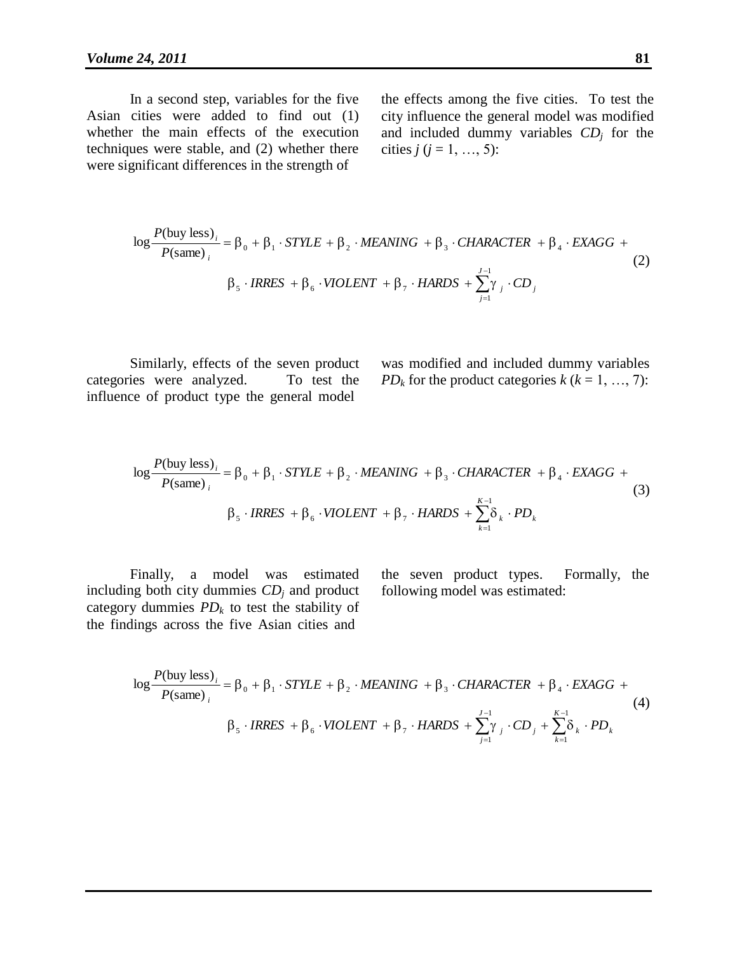In a second step, variables for the five Asian cities were added to find out (1) whether the main effects of the execution techniques were stable, and (2) whether there were significant differences in the strength of

the effects among the five cities. To test the city influence the general model was modified and included dummy variables *CD<sup>j</sup>* for the cities  $j$  ( $j = 1, ..., 5$ ):

$$
\log \frac{P(\text{buy less})_i}{P(\text{same})_i} = \beta_0 + \beta_1 \cdot STYLE + \beta_2 \cdot MEANING + \beta_3 \cdot CHARACTER + \beta_4 \cdot EXAGG +
$$
  

$$
\beta_5 \cdot IRES + \beta_6 \cdot VIOLENT + \beta_7 \cdot HARDS + \sum_{j=1}^{J-1} \gamma_j \cdot CD_j
$$
 (2)

Similarly, effects of the seven product categories were analyzed. To test the influence of product type the general model

was modified and included dummy variables *PD<sub>k</sub>* for the product categories  $k$  ( $k = 1, ..., 7$ ):

$$
\log \frac{P(\text{buy less})_i}{P(\text{same})_i} = \beta_0 + \beta_1 \cdot STYLE + \beta_2 \cdot MEANING + \beta_3 \cdot CHARACTER + \beta_4 \cdot EXAGG + \beta_5 \cdot IRRES + \beta_6 \cdot VIOLENT + \beta_7 \cdot HARDS + \sum_{k=1}^{K-1} \delta_k \cdot PD_k
$$
\n(3)

Finally, a model was estimated including both city dummies *CD<sup>j</sup>* and product category dummies  $PD_k$  to test the stability of the findings across the five Asian cities and

the seven product types. Formally, the following model was estimated:

$$
\log \frac{P(\text{buy less})_i}{P(\text{same})_i} = \beta_0 + \beta_1 \cdot STYLE + \beta_2 \cdot MEANING + \beta_3 \cdot CHARACTER + \beta_4 \cdot EXAGG +
$$
  

$$
\beta_5 \cdot IRES + \beta_6 \cdot VIOLENT + \beta_7 \cdot HARDS + \sum_{j=1}^{J-1} \gamma_j \cdot CD_j + \sum_{k=1}^{K-1} \delta_k \cdot PD_k
$$
  
(4)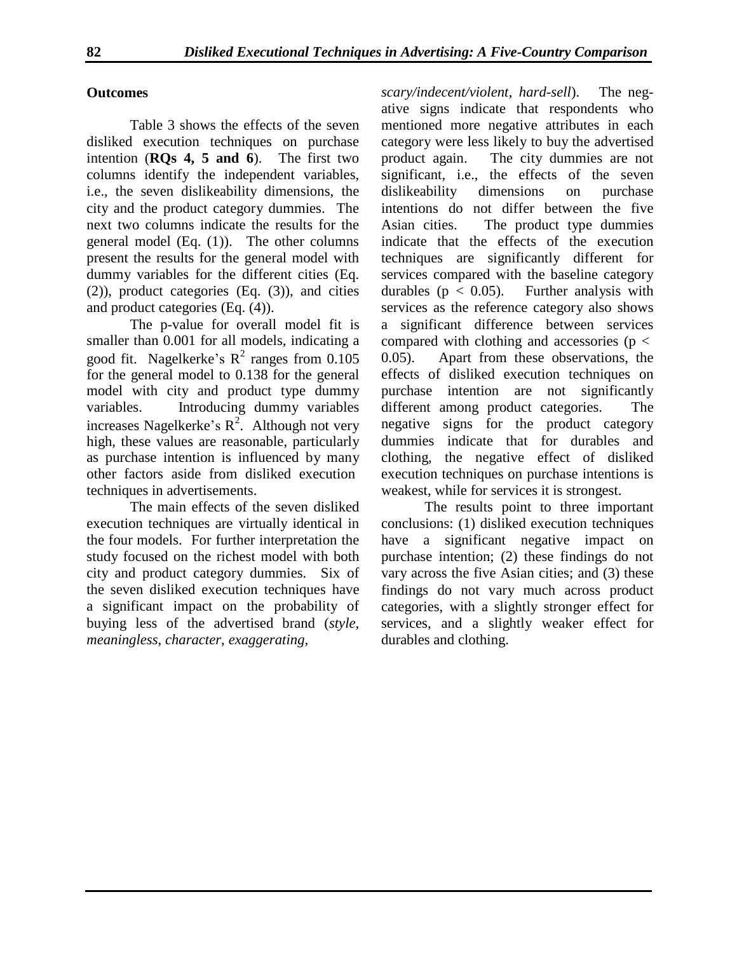#### **Outcomes**

Table 3 shows the effects of the seven disliked execution techniques on purchase intention (**RQs 4, 5 and 6**). The first two columns identify the independent variables, i.e., the seven dislikeability dimensions, the city and the product category dummies. The next two columns indicate the results for the general model (Eq. (1)). The other columns present the results for the general model with dummy variables for the different cities (Eq. (2)), product categories (Eq. (3)), and cities and product categories (Eq. (4)).

The p-value for overall model fit is smaller than 0.001 for all models, indicating a good fit. Nagelkerke's  $R^2$  ranges from 0.105 for the general model to 0.138 for the general model with city and product type dummy variables. Introducing dummy variables increases Nagelkerke's  $R^2$ . Although not very high, these values are reasonable, particularly as purchase intention is influenced by many other factors aside from disliked execution techniques in advertisements.

The main effects of the seven disliked execution techniques are virtually identical in the four models. For further interpretation the study focused on the richest model with both city and product category dummies. Six of the seven disliked execution techniques have a significant impact on the probability of buying less of the advertised brand (*style*, *meaningless*, *character*, *exaggerating*,

*scary/indecent/violent*, *hard-sell*). The negative signs indicate that respondents who mentioned more negative attributes in each category were less likely to buy the advertised product again. The city dummies are not significant, i.e., the effects of the seven dislikeability dimensions on purchase intentions do not differ between the five Asian cities. The product type dummies indicate that the effects of the execution techniques are significantly different for services compared with the baseline category durables ( $p < 0.05$ ). Further analysis with services as the reference category also shows a significant difference between services compared with clothing and accessories ( $p <$ 0.05). Apart from these observations, the effects of disliked execution techniques on purchase intention are not significantly different among product categories. The negative signs for the product category dummies indicate that for durables and clothing, the negative effect of disliked execution techniques on purchase intentions is weakest, while for services it is strongest.

The results point to three important conclusions: (1) disliked execution techniques have a significant negative impact on purchase intention; (2) these findings do not vary across the five Asian cities; and (3) these findings do not vary much across product categories, with a slightly stronger effect for services, and a slightly weaker effect for durables and clothing.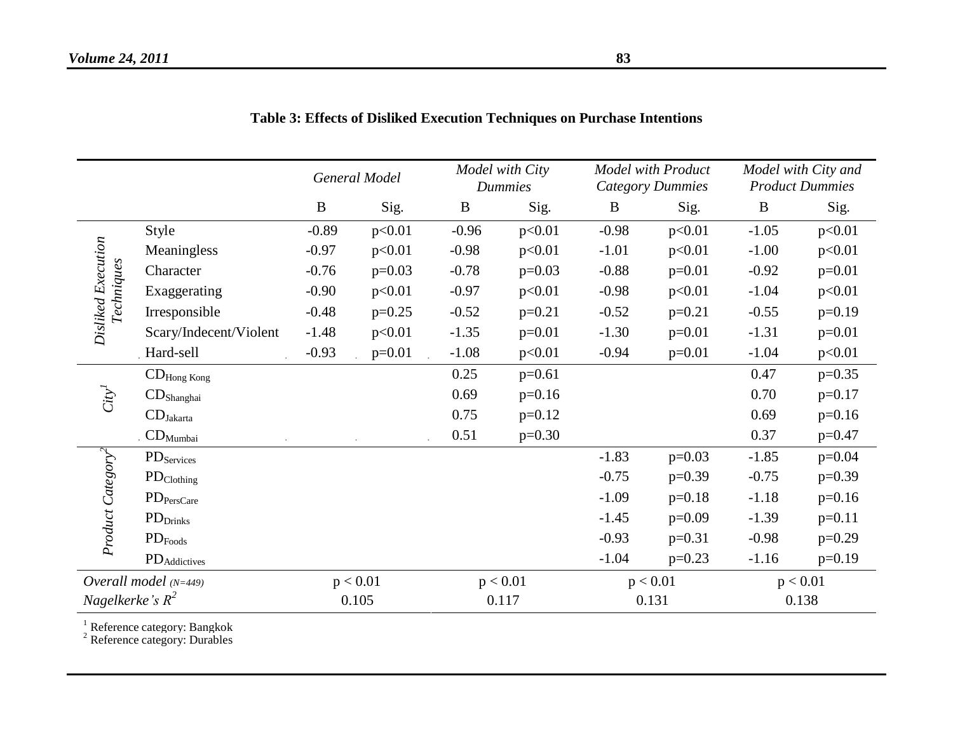|                                         |                                | General Model |          | Model with City<br><b>Dummies</b> |          | <b>Model with Product</b><br>Category Dummies |          | Model with City and<br><b>Product Dummies</b> |          |
|-----------------------------------------|--------------------------------|---------------|----------|-----------------------------------|----------|-----------------------------------------------|----------|-----------------------------------------------|----------|
|                                         |                                | $\bf{B}$      | Sig.     | $\bf{B}$                          | Sig.     | B                                             | Sig.     | $\bf{B}$                                      | Sig.     |
|                                         | Style                          | $-0.89$       | p<0.01   | $-0.96$                           | p<0.01   | $-0.98$                                       | p<0.01   | $-1.05$                                       | p<0.01   |
|                                         | Meaningless                    | $-0.97$       | p<0.01   | $-0.98$                           | p<0.01   | $-1.01$                                       | p<0.01   | $-1.00$                                       | p<0.01   |
|                                         | Character                      | $-0.76$       | $p=0.03$ | $-0.78$                           | $p=0.03$ | $-0.88$                                       | $p=0.01$ | $-0.92$                                       | $p=0.01$ |
|                                         | Exaggerating                   | $-0.90$       | p<0.01   | $-0.97$                           | p<0.01   | $-0.98$                                       | p<0.01   | $-1.04$                                       | p<0.01   |
| Disliked Execution<br><b>Techniques</b> | Irresponsible                  | $-0.48$       | $p=0.25$ | $-0.52$                           | $p=0.21$ | $-0.52$                                       | $p=0.21$ | $-0.55$                                       | $p=0.19$ |
|                                         | Scary/Indecent/Violent         | $-1.48$       | p<0.01   | $-1.35$                           | $p=0.01$ | $-1.30$                                       | $p=0.01$ | $-1.31$                                       | $p=0.01$ |
|                                         | Hard-sell                      | $-0.93$       | $p=0.01$ | $-1.08$                           | p<0.01   | $-0.94$                                       | $p=0.01$ | $-1.04$                                       | p<0.01   |
| $\mathrm{City}^I$                       | $\mathbf{CD}_\text{Hong Kong}$ |               |          | 0.25                              | $p=0.61$ |                                               |          | 0.47                                          | $p=0.35$ |
|                                         | $CD$ Shanghai                  |               |          | 0.69                              | $p=0.16$ |                                               |          | 0.70                                          | $p=0.17$ |
|                                         | $CD_{Jakarta}$                 |               |          | 0.75                              | $p=0.12$ |                                               |          | 0.69                                          | $p=0.16$ |
|                                         | . $\mathbf{CD}_{Mumbai}$       |               |          | 0.51                              | $p=0.30$ |                                               |          | 0.37                                          | $p=0.47$ |
| Product Category <sup>2</sup>           | $PD$ Services                  |               |          |                                   |          | $-1.83$                                       | $p=0.03$ | $-1.85$                                       | $p=0.04$ |
|                                         | $PD_{Clothing}$                |               |          |                                   |          | $-0.75$                                       | $p=0.39$ | $-0.75$                                       | $p=0.39$ |
|                                         | $PD_{PersCare}$                |               |          |                                   |          | $-1.09$                                       | $p=0.18$ | $-1.18$                                       | $p=0.16$ |
|                                         | $PD_{Drinks}$                  |               |          |                                   |          | $-1.45$                                       | $p=0.09$ | $-1.39$                                       | $p=0.11$ |
|                                         | $PD_{\mathrm{Foods}}$          |               |          |                                   |          | $-0.93$                                       | $p=0.31$ | $-0.98$                                       | $p=0.29$ |
|                                         | PD <sub>Addictives</sub>       |               |          |                                   |          | $-1.04$                                       | $p=0.23$ | $-1.16$                                       | $p=0.19$ |
| Overall model $(N=449)$                 |                                | p < 0.01      |          | p < 0.01                          |          | p < 0.01                                      |          | p < 0.01                                      |          |
| Nagelkerke's $R^2$                      |                                | 0.105         |          | 0.117                             |          | 0.131                                         |          | 0.138                                         |          |

# **Table 3: Effects of Disliked Execution Techniques on Purchase Intentions**

<sup>1</sup> Reference category: Bangkok

<sup>2</sup> Reference category: Durables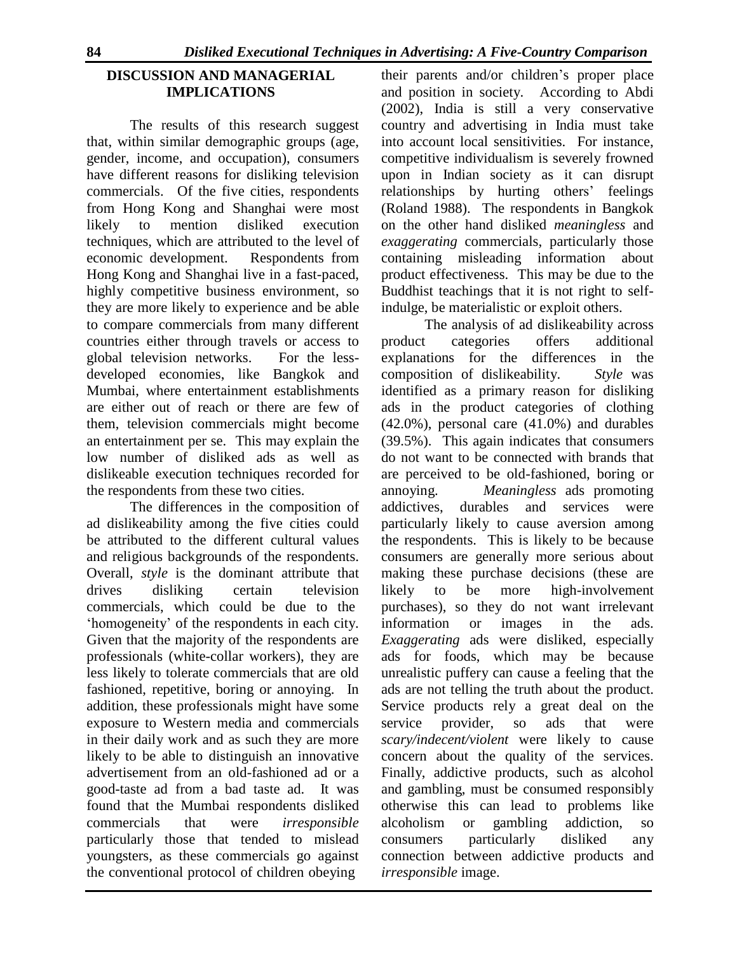# **DISCUSSION AND MANAGERIAL IMPLICATIONS**

The results of this research suggest that, within similar demographic groups (age, gender, income, and occupation), consumers have different reasons for disliking television commercials. Of the five cities, respondents from Hong Kong and Shanghai were most likely to mention disliked execution techniques, which are attributed to the level of economic development. Respondents from Hong Kong and Shanghai live in a fast-paced, highly competitive business environment, so they are more likely to experience and be able to compare commercials from many different countries either through travels or access to global television networks. For the lessdeveloped economies, like Bangkok and Mumbai, where entertainment establishments are either out of reach or there are few of them, television commercials might become an entertainment per se. This may explain the low number of disliked ads as well as dislikeable execution techniques recorded for the respondents from these two cities.

The differences in the composition of ad dislikeability among the five cities could be attributed to the different cultural values and religious backgrounds of the respondents. Overall, *style* is the dominant attribute that drives disliking certain television commercials, which could be due to the 'homogeneity' of the respondents in each city. Given that the majority of the respondents are professionals (white-collar workers), they are less likely to tolerate commercials that are old fashioned, repetitive, boring or annoying. In addition, these professionals might have some exposure to Western media and commercials in their daily work and as such they are more likely to be able to distinguish an innovative advertisement from an old-fashioned ad or a good-taste ad from a bad taste ad. It was found that the Mumbai respondents disliked commercials that were *irresponsible*  particularly those that tended to mislead youngsters, as these commercials go against the conventional protocol of children obeying

their parents and/or children's proper place and position in society. According to Abdi (2002), India is still a very conservative country and advertising in India must take into account local sensitivities. For instance, competitive individualism is severely frowned upon in Indian society as it can disrupt relationships by hurting others' feelings (Roland 1988). The respondents in Bangkok on the other hand disliked *meaningless* and *exaggerating* commercials, particularly those containing misleading information about product effectiveness. This may be due to the Buddhist teachings that it is not right to selfindulge, be materialistic or exploit others.

The analysis of ad dislikeability across product categories offers additional explanations for the differences in the composition of dislikeability. *Style* was identified as a primary reason for disliking ads in the product categories of clothing (42.0%), personal care (41.0%) and durables (39.5%). This again indicates that consumers do not want to be connected with brands that are perceived to be old-fashioned, boring or annoying. *Meaningless* ads promoting addictives, durables and services were particularly likely to cause aversion among the respondents. This is likely to be because consumers are generally more serious about making these purchase decisions (these are likely to be more high-involvement purchases), so they do not want irrelevant information or images in the ads. *Exaggerating* ads were disliked, especially ads for foods, which may be because unrealistic puffery can cause a feeling that the ads are not telling the truth about the product. Service products rely a great deal on the service provider, so ads that were *scary/indecent/violent* were likely to cause concern about the quality of the services. Finally, addictive products, such as alcohol and gambling, must be consumed responsibly otherwise this can lead to problems like alcoholism or gambling addiction, so consumers particularly disliked any connection between addictive products and *irresponsible* image.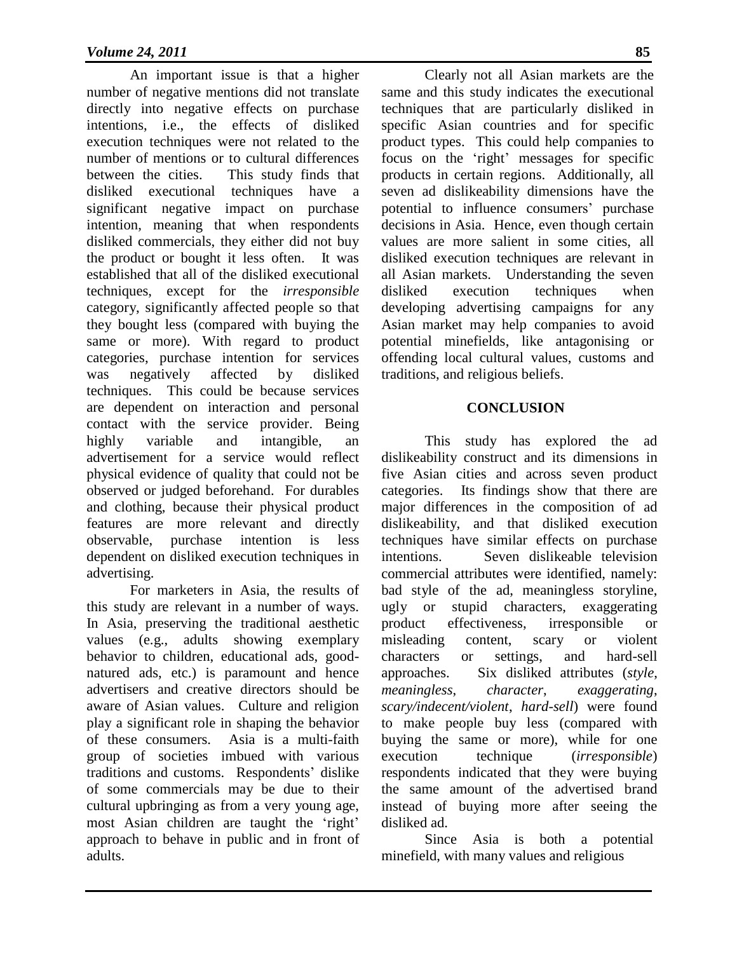An important issue is that a higher number of negative mentions did not translate directly into negative effects on purchase intentions, i.e., the effects of disliked execution techniques were not related to the number of mentions or to cultural differences between the cities. This study finds that disliked executional techniques have a significant negative impact on purchase intention, meaning that when respondents disliked commercials, they either did not buy the product or bought it less often. It was established that all of the disliked executional techniques, except for the *irresponsible*  category, significantly affected people so that they bought less (compared with buying the same or more). With regard to product categories, purchase intention for services was negatively affected by disliked techniques. This could be because services are dependent on interaction and personal contact with the service provider. Being highly variable and intangible, an advertisement for a service would reflect physical evidence of quality that could not be observed or judged beforehand. For durables and clothing, because their physical product features are more relevant and directly observable, purchase intention is less dependent on disliked execution techniques in advertising.

For marketers in Asia, the results of this study are relevant in a number of ways. In Asia, preserving the traditional aesthetic values (e.g., adults showing exemplary behavior to children, educational ads, goodnatured ads, etc.) is paramount and hence advertisers and creative directors should be aware of Asian values. Culture and religion play a significant role in shaping the behavior of these consumers. Asia is a multi-faith group of societies imbued with various traditions and customs. Respondents' dislike of some commercials may be due to their cultural upbringing as from a very young age, most Asian children are taught the 'right' approach to behave in public and in front of adults.

Clearly not all Asian markets are the same and this study indicates the executional techniques that are particularly disliked in specific Asian countries and for specific product types. This could help companies to focus on the 'right' messages for specific products in certain regions. Additionally, all seven ad dislikeability dimensions have the potential to influence consumers' purchase decisions in Asia. Hence, even though certain values are more salient in some cities, all disliked execution techniques are relevant in all Asian markets. Understanding the seven disliked execution techniques when developing advertising campaigns for any Asian market may help companies to avoid potential minefields, like antagonising or offending local cultural values, customs and traditions, and religious beliefs.

## **CONCLUSION**

This study has explored the ad dislikeability construct and its dimensions in five Asian cities and across seven product categories. Its findings show that there are major differences in the composition of ad dislikeability, and that disliked execution techniques have similar effects on purchase intentions. Seven dislikeable television commercial attributes were identified, namely: bad style of the ad, meaningless storyline, ugly or stupid characters, exaggerating product effectiveness, irresponsible or misleading content, scary or violent characters or settings, and hard-sell approaches. Six disliked attributes (*style*, *meaningless*, *character*, *exaggerating*, *scary/indecent/violent*, *hard-sell*) were found to make people buy less (compared with buying the same or more), while for one execution technique (*irresponsible*) respondents indicated that they were buying the same amount of the advertised brand instead of buying more after seeing the disliked ad.

Since Asia is both a potential minefield, with many values and religious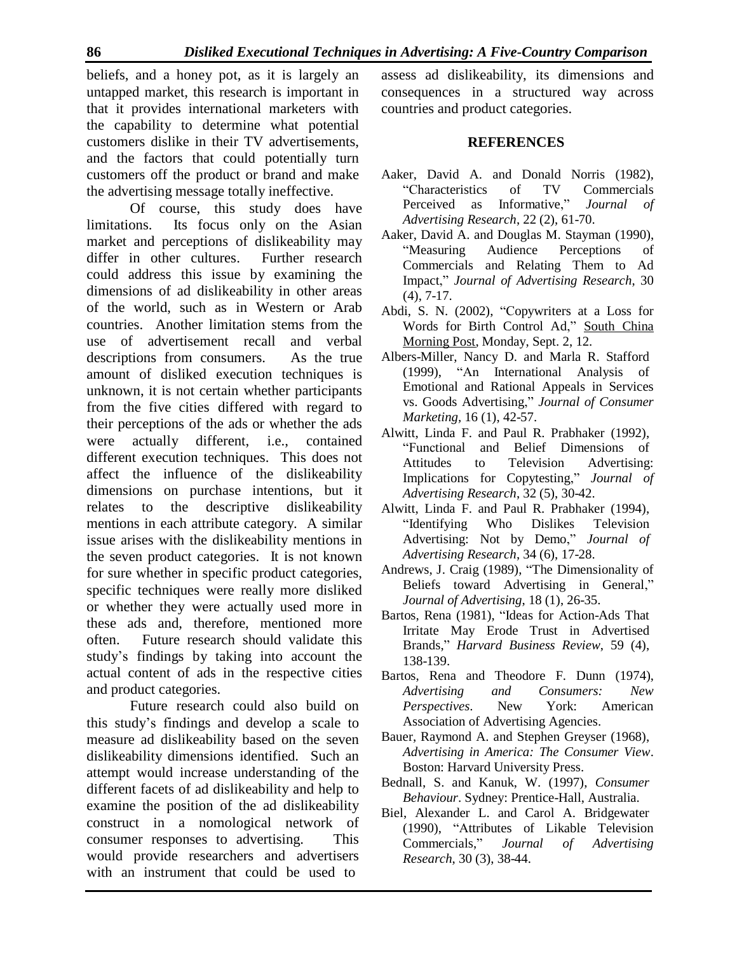beliefs, and a honey pot, as it is largely an untapped market, this research is important in that it provides international marketers with the capability to determine what potential customers dislike in their TV advertisements, and the factors that could potentially turn customers off the product or brand and make the advertising message totally ineffective.

Of course, this study does have limitations. Its focus only on the Asian market and perceptions of dislikeability may differ in other cultures. Further research could address this issue by examining the dimensions of ad dislikeability in other areas of the world, such as in Western or Arab countries. Another limitation stems from the use of advertisement recall and verbal descriptions from consumers. As the true amount of disliked execution techniques is unknown, it is not certain whether participants from the five cities differed with regard to their perceptions of the ads or whether the ads were actually different, i.e., contained different execution techniques. This does not affect the influence of the dislikeability dimensions on purchase intentions, but it relates to the descriptive dislikeability mentions in each attribute category. A similar issue arises with the dislikeability mentions in the seven product categories. It is not known for sure whether in specific product categories, specific techniques were really more disliked or whether they were actually used more in these ads and, therefore, mentioned more often. Future research should validate this study's findings by taking into account the actual content of ads in the respective cities and product categories.

Future research could also build on this study's findings and develop a scale to measure ad dislikeability based on the seven dislikeability dimensions identified. Such an attempt would increase understanding of the different facets of ad dislikeability and help to examine the position of the ad dislikeability construct in a nomological network of consumer responses to advertising. This would provide researchers and advertisers with an instrument that could be used to

assess ad dislikeability, its dimensions and consequences in a structured way across countries and product categories.

## **REFERENCES**

- Aaker, David A. and Donald Norris (1982), "Characteristics of TV Commercials Perceived as Informative," *Journal of Advertising Research*, 22 (2), 61-70.
- Aaker, David A. and Douglas M. Stayman (1990), "Measuring Audience Perceptions of Commercials and Relating Them to Ad Impact," *Journal of Advertising Research*, 30 (4), 7-17.
- Abdi, S. N. (2002), "Copywriters at a Loss for Words for Birth Control Ad," South China Morning Post, Monday, Sept. 2, 12.
- Albers-Miller, Nancy D. and Marla R. Stafford (1999), "An International Analysis of Emotional and Rational Appeals in Services vs. Goods Advertising," *Journal of Consumer Marketing,* 16 (1), 42-57.
- Alwitt, Linda F. and Paul R. Prabhaker (1992), "Functional and Belief Dimensions of Attitudes to Television Advertising: Implications for Copytesting," *Journal of Advertising Research*, 32 (5), 30-42.
- Alwitt, Linda F. and Paul R. Prabhaker (1994), "Identifying Who Dislikes Television Advertising: Not by Demo," *Journal of Advertising Research*, 34 (6), 17-28.
- Andrews, J. Craig (1989), "The Dimensionality of Beliefs toward Advertising in General," *Journal of Advertising*, 18 (1), 26-35.
- Bartos, Rena (1981), "Ideas for Action-Ads That Irritate May Erode Trust in Advertised Brands," *Harvard Business Review*, 59 (4), 138-139.
- Bartos, Rena and Theodore F. Dunn (1974), *Advertising and Consumers: New Perspectives*. New York: American Association of Advertising Agencies.
- Bauer, Raymond A. and Stephen Greyser (1968), *Advertising in America: The Consumer View*. Boston: Harvard University Press.
- Bednall, S. and Kanuk, W. (1997), *Consumer Behaviour*. Sydney: Prentice-Hall, Australia.
- Biel, Alexander L. and Carol A. Bridgewater (1990), "Attributes of Likable Television Commercials," *Journal of Advertising Research*, 30 (3), 38-44.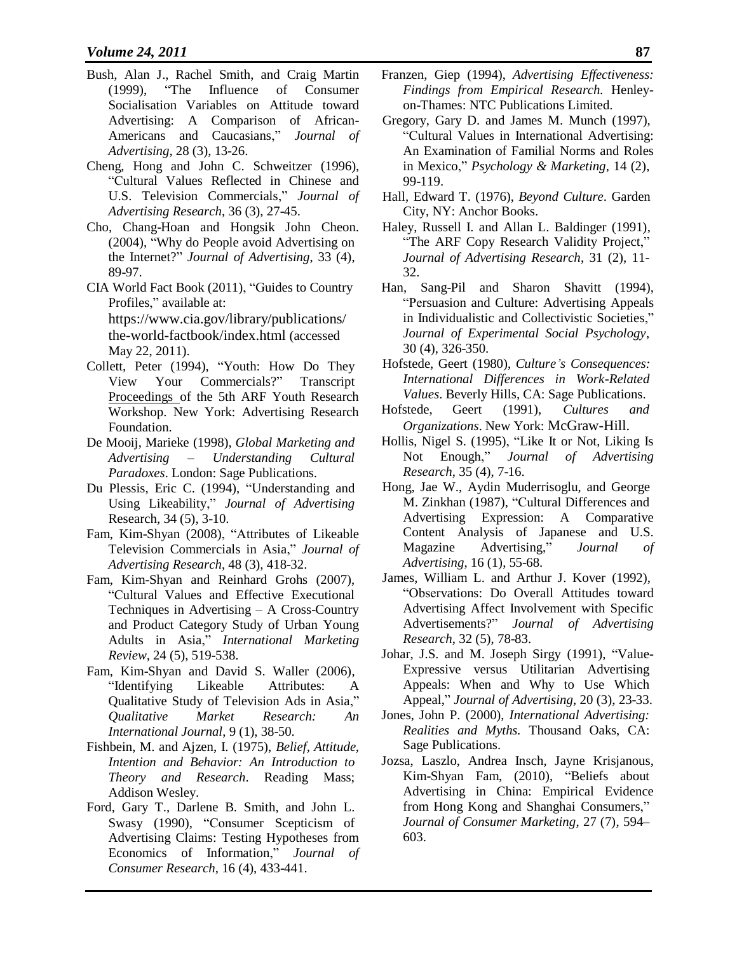- Bush, Alan J., Rachel Smith, and Craig Martin (1999), "The Influence of Consumer Socialisation Variables on Attitude toward Advertising: A Comparison of African-Americans and Caucasians," *Journal of Advertising*, 28 (3), 13-26.
- Cheng, Hong and John C. Schweitzer (1996), "Cultural Values Reflected in Chinese and U.S. Television Commercials," *Journal of Advertising Research*, 36 (3), 27-45.
- Cho, Chang-Hoan and Hongsik John Cheon. (2004), "Why do People avoid Advertising on the Internet?" *Journal of Advertising*, 33 (4), 89-97.
- CIA World Fact Book (2011), "Guides to Country Profiles," available at: https:[//www.cia.gov/library/publications/](http://www.cia.gov/library/publications/) the-world-factbook/index.html (accessed May 22, 2011).
- Collett, Peter (1994), "Youth: How Do They View Your Commercials?" Transcript Proceedings of the 5th ARF Youth Research Workshop. New York: Advertising Research Foundation.
- De Mooij, Marieke (1998), *Global Marketing and Advertising – Understanding Cultural Paradoxes*. London: Sage Publications.
- Du Plessis, Eric C. (1994), "Understanding and Using Likeability," *Journal of Advertising* Research, 34 (5), 3-10.
- Fam, Kim-Shyan (2008), "Attributes of Likeable Television Commercials in Asia," *Journal of Advertising Research*, 48 (3), 418-32.
- Fam, Kim-Shyan and Reinhard Grohs (2007), "Cultural Values and Effective Executional Techniques in Advertising – A Cross-Country and Product Category Study of Urban Young Adults in Asia," *International Marketing Review,* 24 (5), 519-538.
- Fam, Kim-Shyan and David S. Waller (2006), "Identifying Likeable Attributes: A Qualitative Study of Television Ads in Asia," *Qualitative Market Research: An International Journal*, 9 (1), 38-50.
- Fishbein, M. and Ajzen, I. (1975), *Belief, Attitude, Intention and Behavior: An Introduction to Theory and Research*. Reading Mass; Addison Wesley.
- Ford, Gary T., Darlene B. Smith, and John L. Swasy (1990), "Consumer Scepticism of Advertising Claims: Testing Hypotheses from Economics of Information," *Journal of Consumer Research*, 16 (4), 433-441.
- Franzen, Giep (1994), *Advertising Effectiveness: Findings from Empirical Research.* Henleyon-Thames: NTC Publications Limited.
- Gregory, Gary D. and James M. Munch (1997), "Cultural Values in International Advertising: An Examination of Familial Norms and Roles in Mexico," *Psychology & Marketing*, 14 (2), 99-119.
- Hall, Edward T. (1976), *Beyond Culture*. Garden City, NY: Anchor Books.
- Haley, Russell I. and Allan L. Baldinger (1991), "The ARF Copy Research Validity Project," *Journal of Advertising Research*, 31 (2), 11- 32.
- Han, Sang-Pil and Sharon Shavitt (1994), "Persuasion and Culture: Advertising Appeals in Individualistic and Collectivistic Societies," *Journal of Experimental Social Psychology*, 30 (4), 326-350.
- Hofstede, Geert (1980), *Culture's Consequences: International Differences in Work-Related Values*. Beverly Hills, CA: Sage Publications.
- Hofstede, Geert (1991), *Cultures and Organizations*. New York: McGraw-Hill.
- Hollis, Nigel S. (1995), "Like It or Not, Liking Is Not Enough," *Journal of Advertising Research*, 35 (4), 7-16.
- Hong, Jae W., Aydin Muderrisoglu, and George M. Zinkhan (1987), "Cultural Differences and Advertising Expression: A Comparative Content Analysis of Japanese and U.S. Magazine Advertising," *Journal of Advertising*, 16 (1), 55-68.
- James, William L. and Arthur J. Kover (1992), "Observations: Do Overall Attitudes toward Advertising Affect Involvement with Specific Advertisements?" *Journal of Advertising Research*, 32 (5), 78-83.
- Johar, J.S. and M. Joseph Sirgy (1991), "Value-Expressive versus Utilitarian Advertising Appeals: When and Why to Use Which Appeal," *Journal of Advertising*, 20 (3), 23-33.
- Jones, John P. (2000), *International Advertising: Realities and Myths.* Thousand Oaks, CA: Sage Publications.
- Jozsa, Laszlo, Andrea Insch, Jayne Krisjanous, Kim-Shyan Fam, (2010), "Beliefs about Advertising in China: Empirical Evidence from Hong Kong and Shanghai Consumers," *Journal of Consumer Marketing*, 27 (7), 594– 603.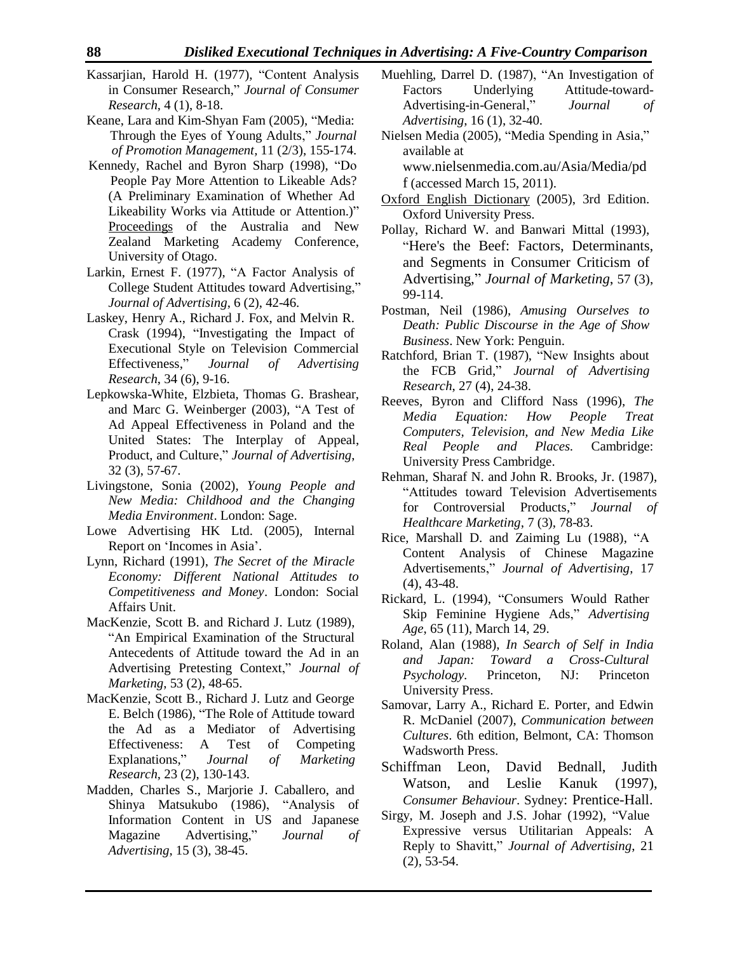- Kassarjian, Harold H. (1977), "Content Analysis in Consumer Research," *Journal of Consumer Research*, 4 (1), 8-18.
- Keane, Lara and Kim-Shyan Fam (2005), "Media: Through the Eyes of Young Adults," *Journal of Promotion Management,* 11 (2/3), 155-174.
- Kennedy, Rachel and Byron Sharp (1998), "Do People Pay More Attention to Likeable Ads? (A Preliminary Examination of Whether Ad Likeability Works via Attitude or Attention.)" Proceedings of the Australia and New Zealand Marketing Academy Conference, University of Otago.
- Larkin, Ernest F. (1977), "A Factor Analysis of College Student Attitudes toward Advertising," *Journal of Advertising*, 6 (2), 42-46.
- Laskey, Henry A., Richard J. Fox, and Melvin R. Crask (1994), "Investigating the Impact of Executional Style on Television Commercial Effectiveness," *Journal of Advertising Research*, 34 (6), 9-16.
- Lepkowska-White, Elzbieta, Thomas G. Brashear, and Marc G. Weinberger (2003), "A Test of Ad Appeal Effectiveness in Poland and the United States: The Interplay of Appeal, Product, and Culture," *Journal of Advertising*, 32 (3), 57-67.
- Livingstone, Sonia (2002), *Young People and New Media: Childhood and the Changing Media Environment*. London: Sage.
- Lowe Advertising HK Ltd. (2005), Internal Report on 'Incomes in Asia'.
- Lynn, Richard (1991), *The Secret of the Miracle Economy: Different National Attitudes to Competitiveness and Money*. London: Social Affairs Unit.
- MacKenzie, Scott B. and Richard J. Lutz (1989), "An Empirical Examination of the Structural Antecedents of Attitude toward the Ad in an Advertising Pretesting Context," *Journal of Marketing*, 53 (2), 48-65.
- the Ad as a Mediator of Advertising Effectiveness: A Test of Competing Explanations," *Journal of Marketing* MacKenzie, Scott B., Richard J. Lutz and George E. Belch (1986), "The Role of Attitude toward *Research*, 23 (2), 130-143.
- Madden, Charles S., Marjorie J. Caballero, and Shinya Matsukubo (1986), "Analysis of Information Content in US and Japanese Magazine Advertising," *Journal of Advertising*, 15 (3), 38-45.
- Muehling, Darrel D. (1987), "An Investigation of Factors Underlying Attitude-toward-Advertising-in-General," *Journal of Advertising*, 16 (1), 32-40.
- Nielsen Media (2005), "Media Spending in Asia," available at [www.](http://www/)[nielsenmedia.com.au/Asia/Media/pd](http://www/)
- [f](http://www.nielsenmedia.com.au/Asia/Media/pdf) (accessed March 15, 2011). Oxford English Dictionary (2005), 3rd Edition. Oxford University Press.
- Pollay, Richard W. and Banwari Mittal (1993), "Here's the Beef: Factors, Determinants, and Segments in Consumer Criticism of Advertising," *Journal of Marketing*, 57 (3), 99-114.
- Postman, Neil (1986), *Amusing Ourselves to Death: Public Discourse in the Age of Show Business*. New York: Penguin.
- Ratchford, Brian T. (1987), "New Insights about the FCB Grid," *Journal of Advertising Research*, 27 (4), 24-38.
- Reeves, Byron and Clifford Nass (1996), *The Media Equation: How People Treat Computers, Television, and New Media Like Real People and Places.* Cambridge: University Press Cambridge.
- Rehman, Sharaf N. and John R. Brooks, Jr. (1987), "Attitudes toward Television Advertisements for Controversial Products," *Journal of Healthcare Marketing*, 7 (3), 78-83.
- Rice, Marshall D. and Zaiming Lu (1988), "A Content Analysis of Chinese Magazine Advertisements," *Journal of Advertising*, 17 (4), 43-48.
- Rickard, L. (1994), "Consumers Would Rather Skip Feminine Hygiene Ads," *Advertising Age*, 65 (11), March 14, 29.
- Roland, Alan (1988), *In Search of Self in India and Japan: Toward a Cross-Cultural Psychology*. Princeton, NJ: Princeton University Press.
- Samovar, Larry A., Richard E. Porter, and Edwin R. McDaniel (2007), *Communication between Cultures*. 6th edition, Belmont, CA: Thomson Wadsworth Press.
- Schiffman Leon, David Bednall, Judith Watson, and Leslie Kanuk (1997), *Consumer Behaviour*. Sydney: Prentice-Hall.
- Sirgy, M. Joseph and J.S. Johar (1992), "Value Expressive versus Utilitarian Appeals: A Reply to Shavitt," *Journal of Advertising*, 21 (2), 53-54.